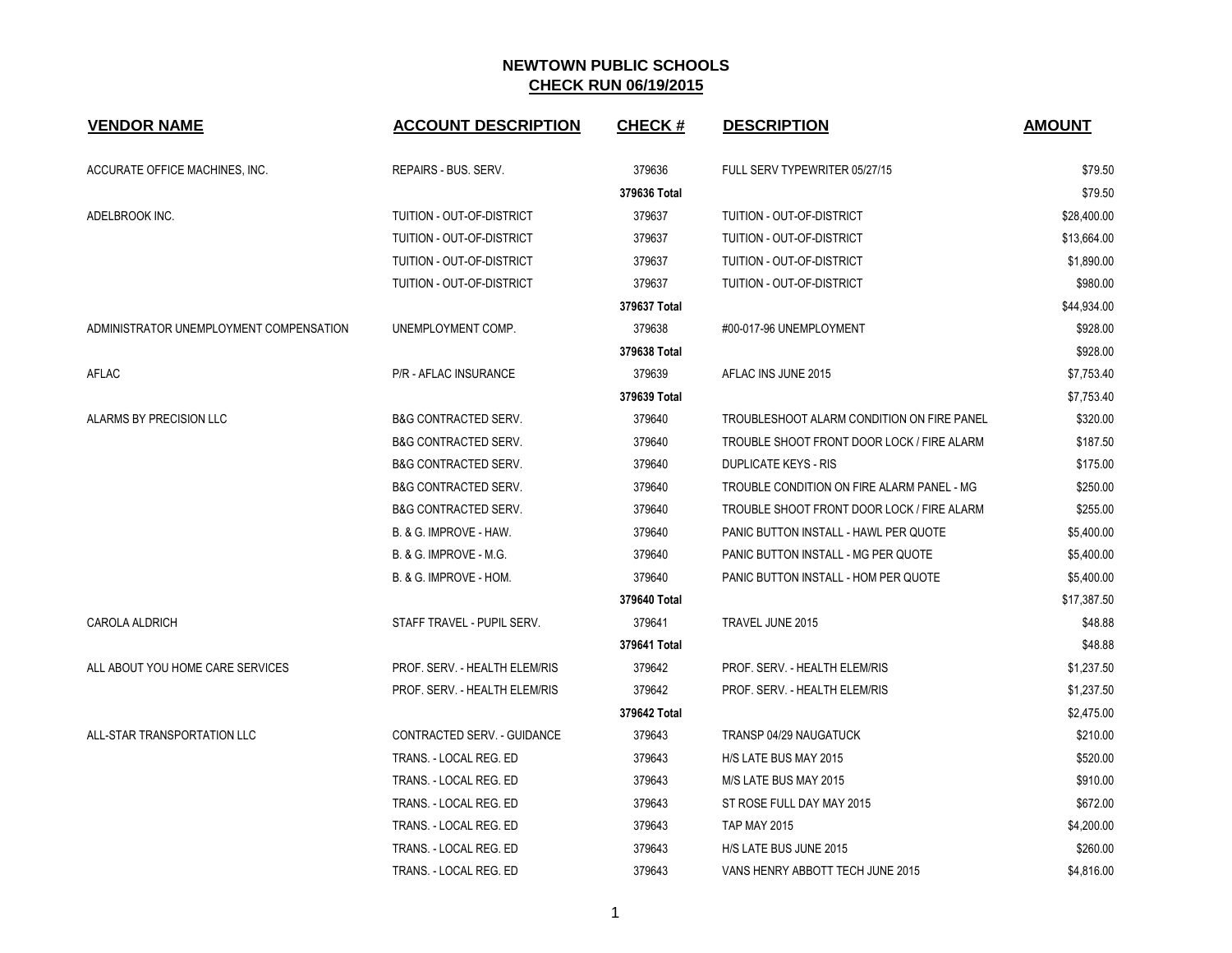| <b>VENDOR NAME</b>                      | <b>ACCOUNT DESCRIPTION</b>      | <b>CHECK#</b> | <b>DESCRIPTION</b>                           | <b>AMOUNT</b> |
|-----------------------------------------|---------------------------------|---------------|----------------------------------------------|---------------|
| ACCURATE OFFICE MACHINES, INC.          | REPAIRS - BUS. SERV.            | 379636        | FULL SERV TYPEWRITER 05/27/15                | \$79.50       |
|                                         |                                 | 379636 Total  |                                              | \$79.50       |
| ADELBROOK INC.                          | TUITION - OUT-OF-DISTRICT       | 379637        | TUITION - OUT-OF-DISTRICT                    | \$28,400.00   |
|                                         | TUITION - OUT-OF-DISTRICT       | 379637        | TUITION - OUT-OF-DISTRICT                    | \$13,664.00   |
|                                         | TUITION - OUT-OF-DISTRICT       | 379637        | <b>TUITION - OUT-OF-DISTRICT</b>             | \$1,890.00    |
|                                         | TUITION - OUT-OF-DISTRICT       | 379637        | TUITION - OUT-OF-DISTRICT                    | \$980.00      |
|                                         |                                 | 379637 Total  |                                              | \$44,934.00   |
| ADMINISTRATOR UNEMPLOYMENT COMPENSATION | UNEMPLOYMENT COMP.              | 379638        | #00-017-96 UNEMPLOYMENT                      | \$928.00      |
|                                         |                                 | 379638 Total  |                                              | \$928.00      |
| AFLAC                                   | P/R - AFLAC INSURANCE           | 379639        | AFLAC INS JUNE 2015                          | \$7,753.40    |
|                                         |                                 | 379639 Total  |                                              | \$7,753.40    |
| ALARMS BY PRECISION LLC                 | <b>B&amp;G CONTRACTED SERV.</b> | 379640        | TROUBLESHOOT ALARM CONDITION ON FIRE PANEL   | \$320.00      |
|                                         | <b>B&amp;G CONTRACTED SERV.</b> | 379640        | TROUBLE SHOOT FRONT DOOR LOCK / FIRE ALARM   | \$187.50      |
|                                         | <b>B&amp;G CONTRACTED SERV.</b> | 379640        | <b>DUPLICATE KEYS - RIS</b>                  | \$175.00      |
|                                         | <b>B&amp;G CONTRACTED SERV.</b> | 379640        | TROUBLE CONDITION ON FIRE ALARM PANEL - MG   | \$250.00      |
|                                         | <b>B&amp;G CONTRACTED SERV.</b> | 379640        | TROUBLE SHOOT FRONT DOOR LOCK / FIRE ALARM   | \$255.00      |
|                                         | B. & G. IMPROVE - HAW.          | 379640        | <b>PANIC BUTTON INSTALL - HAWL PER QUOTE</b> | \$5,400.00    |
|                                         | B. & G. IMPROVE - M.G.          | 379640        | PANIC BUTTON INSTALL - MG PER QUOTE          | \$5,400.00    |
|                                         | B. & G. IMPROVE - HOM.          | 379640        | PANIC BUTTON INSTALL - HOM PER QUOTE         | \$5,400.00    |
|                                         |                                 | 379640 Total  |                                              | \$17,387.50   |
| <b>CAROLA ALDRICH</b>                   | STAFF TRAVEL - PUPIL SERV.      | 379641        | TRAVEL JUNE 2015                             | \$48.88       |
|                                         |                                 | 379641 Total  |                                              | \$48.88       |
| ALL ABOUT YOU HOME CARE SERVICES        | PROF. SERV. - HEALTH ELEM/RIS   | 379642        | PROF. SERV. - HEALTH ELEM/RIS                | \$1,237.50    |
|                                         | PROF. SERV. - HEALTH ELEM/RIS   | 379642        | PROF. SERV. - HEALTH ELEM/RIS                | \$1,237.50    |
|                                         |                                 | 379642 Total  |                                              | \$2,475.00    |
| ALL-STAR TRANSPORTATION LLC             | CONTRACTED SERV. - GUIDANCE     | 379643        | TRANSP 04/29 NAUGATUCK                       | \$210.00      |
|                                         | TRANS. - LOCAL REG. ED          | 379643        | H/S LATE BUS MAY 2015                        | \$520.00      |
|                                         | TRANS. - LOCAL REG. ED          | 379643        | M/S LATE BUS MAY 2015                        | \$910.00      |
|                                         | TRANS. - LOCAL REG. ED          | 379643        | ST ROSE FULL DAY MAY 2015                    | \$672.00      |
|                                         | TRANS. - LOCAL REG. ED          | 379643        | <b>TAP MAY 2015</b>                          | \$4,200.00    |
|                                         | TRANS. - LOCAL REG. ED          | 379643        | H/S LATE BUS JUNE 2015                       | \$260.00      |
|                                         | TRANS. - LOCAL REG. ED          | 379643        | VANS HENRY ABBOTT TECH JUNE 2015             | \$4,816.00    |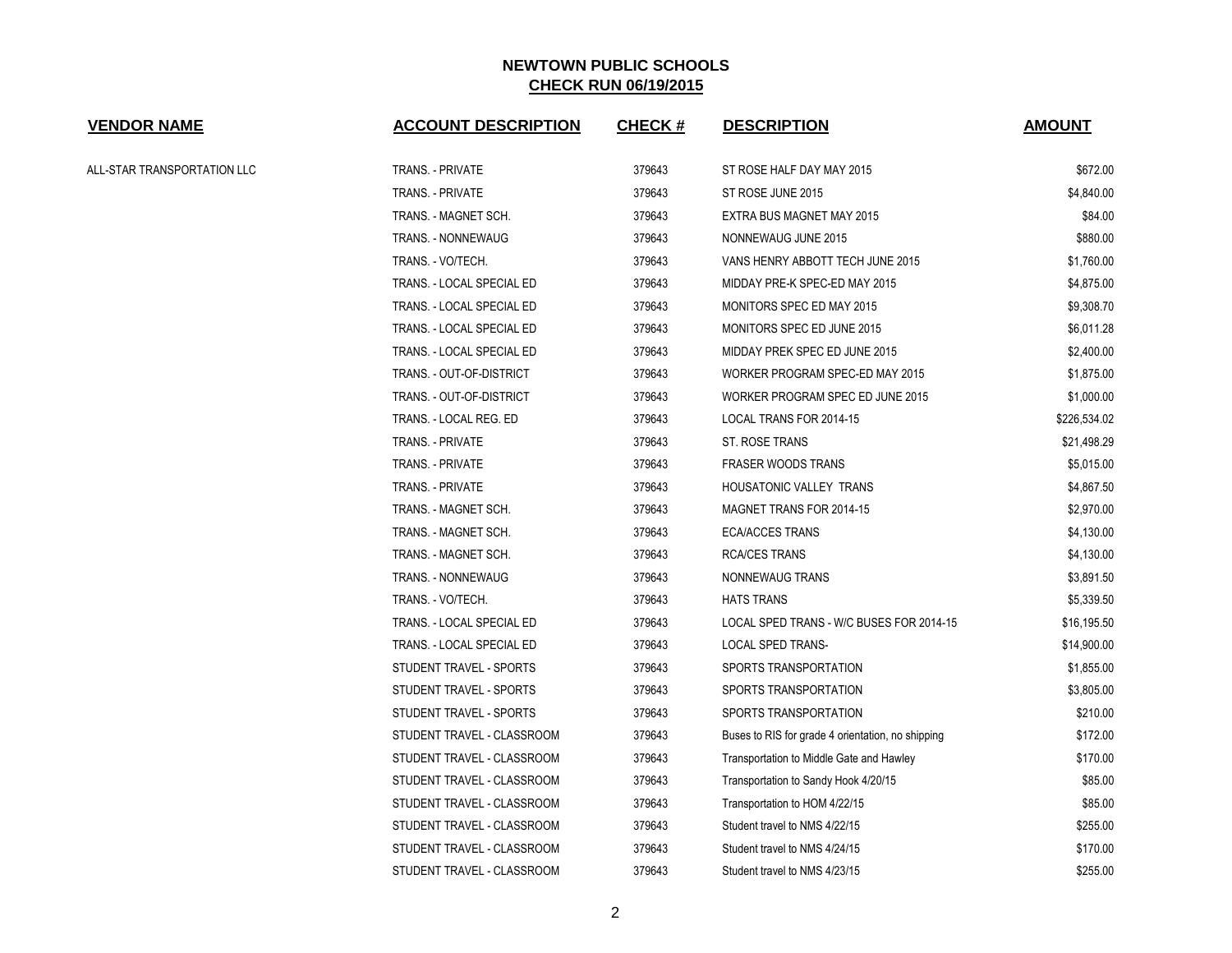| <b>VENDOR NAME</b>          | <b>ACCOUNT DESCRIPTION</b> | CHECK # | <b>DESCRIPTION</b>                                | <b>AMOUNT</b> |
|-----------------------------|----------------------------|---------|---------------------------------------------------|---------------|
| ALL-STAR TRANSPORTATION LLC | TRANS. - PRIVATE           | 379643  | ST ROSE HALF DAY MAY 2015                         | \$672.00      |
|                             | <b>TRANS. - PRIVATE</b>    | 379643  | ST ROSE JUNE 2015                                 | \$4,840.00    |
|                             | TRANS. - MAGNET SCH.       | 379643  | EXTRA BUS MAGNET MAY 2015                         | \$84.00       |
|                             | TRANS. - NONNEWAUG         | 379643  | NONNEWAUG JUNE 2015                               | \$880.00      |
|                             | TRANS. - VO/TECH.          | 379643  | VANS HENRY ABBOTT TECH JUNE 2015                  | \$1,760.00    |
|                             | TRANS. - LOCAL SPECIAL ED  | 379643  | MIDDAY PRE-K SPEC-ED MAY 2015                     | \$4,875.00    |
|                             | TRANS. - LOCAL SPECIAL ED  | 379643  | <b>MONITORS SPEC ED MAY 2015</b>                  | \$9,308.70    |
|                             | TRANS. - LOCAL SPECIAL ED  | 379643  | MONITORS SPEC ED JUNE 2015                        | \$6,011.28    |
|                             | TRANS. - LOCAL SPECIAL ED  | 379643  | MIDDAY PREK SPEC ED JUNE 2015                     | \$2,400.00    |
|                             | TRANS. - OUT-OF-DISTRICT   | 379643  | WORKER PROGRAM SPEC-ED MAY 2015                   | \$1,875.00    |
|                             | TRANS. - OUT-OF-DISTRICT   | 379643  | WORKER PROGRAM SPEC ED JUNE 2015                  | \$1,000.00    |
|                             | TRANS. - LOCAL REG. ED     | 379643  | LOCAL TRANS FOR 2014-15                           | \$226,534.02  |
|                             | <b>TRANS. - PRIVATE</b>    | 379643  | ST. ROSE TRANS                                    | \$21,498.29   |
|                             | <b>TRANS. - PRIVATE</b>    | 379643  | <b>FRASER WOODS TRANS</b>                         | \$5,015.00    |
|                             | <b>TRANS. - PRIVATE</b>    | 379643  | HOUSATONIC VALLEY TRANS                           | \$4,867.50    |
|                             | TRANS. - MAGNET SCH.       | 379643  | MAGNET TRANS FOR 2014-15                          | \$2,970.00    |
|                             | TRANS. - MAGNET SCH.       | 379643  | <b>ECA/ACCES TRANS</b>                            | \$4,130.00    |
|                             | TRANS. - MAGNET SCH.       | 379643  | <b>RCA/CES TRANS</b>                              | \$4,130.00    |
|                             | TRANS. - NONNEWAUG         | 379643  | NONNEWAUG TRANS                                   | \$3,891.50    |
|                             | TRANS. - VO/TECH.          | 379643  | <b>HATS TRANS</b>                                 | \$5,339.50    |
|                             | TRANS. - LOCAL SPECIAL ED  | 379643  | LOCAL SPED TRANS - W/C BUSES FOR 2014-15          | \$16,195.50   |
|                             | TRANS. - LOCAL SPECIAL ED  | 379643  | LOCAL SPED TRANS-                                 | \$14,900.00   |
|                             | STUDENT TRAVEL - SPORTS    | 379643  | SPORTS TRANSPORTATION                             | \$1,855.00    |
|                             | STUDENT TRAVEL - SPORTS    | 379643  | SPORTS TRANSPORTATION                             | \$3,805.00    |
|                             | STUDENT TRAVEL - SPORTS    | 379643  | SPORTS TRANSPORTATION                             | \$210.00      |
|                             | STUDENT TRAVEL - CLASSROOM | 379643  | Buses to RIS for grade 4 orientation, no shipping | \$172.00      |
|                             | STUDENT TRAVEL - CLASSROOM | 379643  | Transportation to Middle Gate and Hawley          | \$170.00      |
|                             | STUDENT TRAVEL - CLASSROOM | 379643  | Transportation to Sandy Hook 4/20/15              | \$85.00       |
|                             | STUDENT TRAVEL - CLASSROOM | 379643  | Transportation to HOM 4/22/15                     | \$85.00       |
|                             | STUDENT TRAVEL - CLASSROOM | 379643  | Student travel to NMS 4/22/15                     | \$255.00      |
|                             | STUDENT TRAVEL - CLASSROOM | 379643  | Student travel to NMS 4/24/15                     | \$170.00      |
|                             | STUDENT TRAVEL - CLASSROOM | 379643  | Student travel to NMS 4/23/15                     | \$255.00      |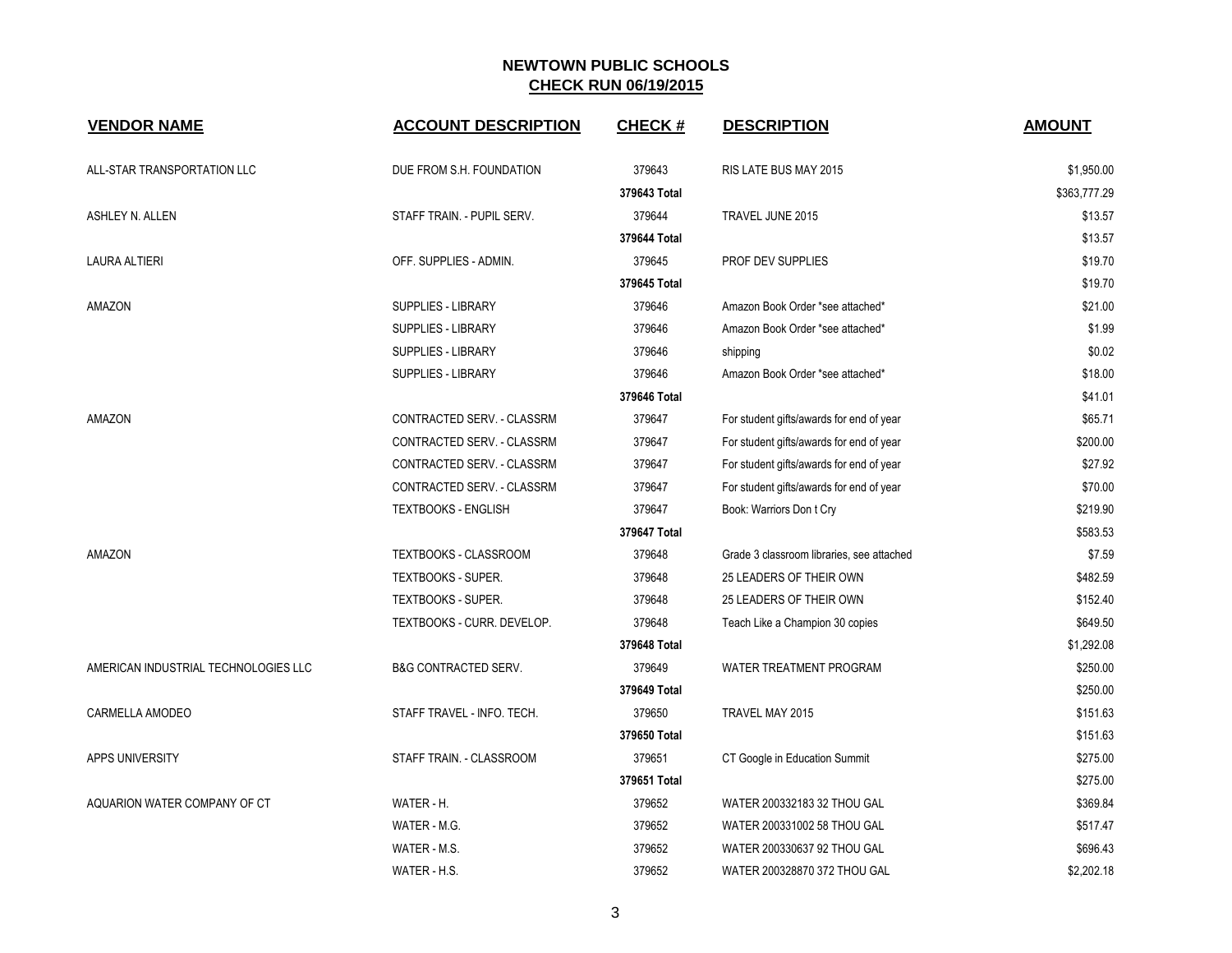| <b>VENDOR NAME</b>                   | <b>ACCOUNT DESCRIPTION</b>      | <b>CHECK#</b> | <b>DESCRIPTION</b>                        | <b>AMOUNT</b> |
|--------------------------------------|---------------------------------|---------------|-------------------------------------------|---------------|
| ALL-STAR TRANSPORTATION LLC          | DUE FROM S.H. FOUNDATION        | 379643        | RIS LATE BUS MAY 2015                     | \$1,950.00    |
|                                      |                                 | 379643 Total  |                                           | \$363,777.29  |
| ASHLEY N. ALLEN                      | STAFF TRAIN. - PUPIL SERV.      | 379644        | TRAVEL JUNE 2015                          | \$13.57       |
|                                      |                                 | 379644 Total  |                                           | \$13.57       |
| <b>LAURA ALTIERI</b>                 | OFF. SUPPLIES - ADMIN.          | 379645        | <b>PROF DEV SUPPLIES</b>                  | \$19.70       |
|                                      |                                 | 379645 Total  |                                           | \$19.70       |
| AMAZON                               | <b>SUPPLIES - LIBRARY</b>       | 379646        | Amazon Book Order *see attached*          | \$21.00       |
|                                      | SUPPLIES - LIBRARY              | 379646        | Amazon Book Order *see attached*          | \$1.99        |
|                                      | SUPPLIES - LIBRARY              | 379646        | shipping                                  | \$0.02        |
|                                      | SUPPLIES - LIBRARY              | 379646        | Amazon Book Order *see attached*          | \$18.00       |
|                                      |                                 | 379646 Total  |                                           | \$41.01       |
| AMAZON                               | CONTRACTED SERV. - CLASSRM      | 379647        | For student gifts/awards for end of year  | \$65.71       |
|                                      | CONTRACTED SERV. - CLASSRM      | 379647        | For student gifts/awards for end of year  | \$200.00      |
|                                      | CONTRACTED SERV. - CLASSRM      | 379647        | For student gifts/awards for end of year  | \$27.92       |
|                                      | CONTRACTED SERV. - CLASSRM      | 379647        | For student gifts/awards for end of year  | \$70.00       |
|                                      | <b>TEXTBOOKS - ENGLISH</b>      | 379647        | Book: Warriors Don t Cry                  | \$219.90      |
|                                      |                                 | 379647 Total  |                                           | \$583.53      |
| AMAZON                               | <b>TEXTBOOKS - CLASSROOM</b>    | 379648        | Grade 3 classroom libraries, see attached | \$7.59        |
|                                      | <b>TEXTBOOKS - SUPER.</b>       | 379648        | 25 LEADERS OF THEIR OWN                   | \$482.59      |
|                                      | <b>TEXTBOOKS - SUPER.</b>       | 379648        | 25 LEADERS OF THEIR OWN                   | \$152.40      |
|                                      | TEXTBOOKS - CURR. DEVELOP.      | 379648        | Teach Like a Champion 30 copies           | \$649.50      |
|                                      |                                 | 379648 Total  |                                           | \$1,292.08    |
| AMERICAN INDUSTRIAL TECHNOLOGIES LLC | <b>B&amp;G CONTRACTED SERV.</b> | 379649        | WATER TREATMENT PROGRAM                   | \$250.00      |
|                                      |                                 | 379649 Total  |                                           | \$250.00      |
| CARMELLA AMODEO                      | STAFF TRAVEL - INFO. TECH.      | 379650        | TRAVEL MAY 2015                           | \$151.63      |
|                                      |                                 | 379650 Total  |                                           | \$151.63      |
| APPS UNIVERSITY                      | STAFF TRAIN. - CLASSROOM        | 379651        | CT Google in Education Summit             | \$275.00      |
|                                      |                                 | 379651 Total  |                                           | \$275.00      |
| AQUARION WATER COMPANY OF CT         | WATER - H.                      | 379652        | WATER 200332183 32 THOU GAL               | \$369.84      |
|                                      | WATER - M.G.                    | 379652        | WATER 200331002 58 THOU GAL               | \$517.47      |
|                                      | WATER - M.S.                    | 379652        | WATER 200330637 92 THOU GAL               | \$696.43      |
|                                      | WATER - H.S.                    | 379652        | WATER 200328870 372 THOU GAL              | \$2,202.18    |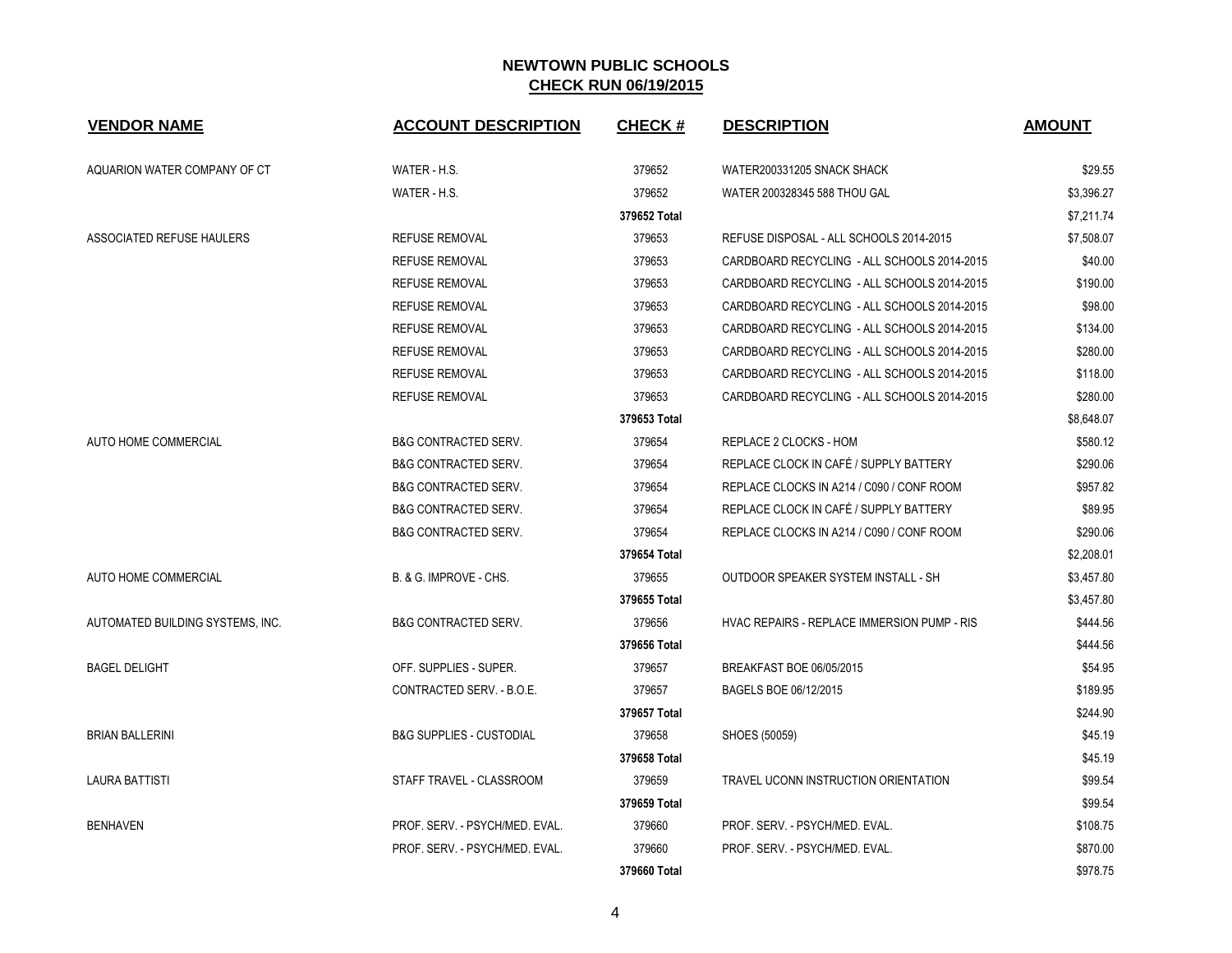| <b>VENDOR NAME</b>               | <b>ACCOUNT DESCRIPTION</b>          | <b>CHECK#</b> | <b>DESCRIPTION</b>                          | <b>AMOUNT</b> |
|----------------------------------|-------------------------------------|---------------|---------------------------------------------|---------------|
| AQUARION WATER COMPANY OF CT     | WATER - H.S.                        | 379652        | WATER200331205 SNACK SHACK                  | \$29.55       |
|                                  | WATER - H.S.                        | 379652        | WATER 200328345 588 THOU GAL                | \$3.396.27    |
|                                  |                                     | 379652 Total  |                                             | \$7,211.74    |
| ASSOCIATED REFUSE HAULERS        | <b>REFUSE REMOVAL</b>               | 379653        | REFUSE DISPOSAL - ALL SCHOOLS 2014-2015     | \$7,508.07    |
|                                  | <b>REFUSE REMOVAL</b>               | 379653        | CARDBOARD RECYCLING - ALL SCHOOLS 2014-2015 | \$40.00       |
|                                  | <b>REFUSE REMOVAL</b>               | 379653        | CARDBOARD RECYCLING - ALL SCHOOLS 2014-2015 | \$190.00      |
|                                  | <b>REFUSE REMOVAL</b>               | 379653        | CARDBOARD RECYCLING - ALL SCHOOLS 2014-2015 | \$98.00       |
|                                  | <b>REFUSE REMOVAL</b>               | 379653        | CARDBOARD RECYCLING - ALL SCHOOLS 2014-2015 | \$134.00      |
|                                  | <b>REFUSE REMOVAL</b>               | 379653        | CARDBOARD RECYCLING - ALL SCHOOLS 2014-2015 | \$280.00      |
|                                  | <b>REFUSE REMOVAL</b>               | 379653        | CARDBOARD RECYCLING - ALL SCHOOLS 2014-2015 | \$118.00      |
|                                  | <b>REFUSE REMOVAL</b>               | 379653        | CARDBOARD RECYCLING - ALL SCHOOLS 2014-2015 | \$280.00      |
|                                  |                                     | 379653 Total  |                                             | \$8,648.07    |
| AUTO HOME COMMERCIAL             | <b>B&amp;G CONTRACTED SERV.</b>     | 379654        | REPLACE 2 CLOCKS - HOM                      | \$580.12      |
|                                  | <b>B&amp;G CONTRACTED SERV.</b>     | 379654        | REPLACE CLOCK IN CAFÉ / SUPPLY BATTERY      | \$290.06      |
|                                  | <b>B&amp;G CONTRACTED SERV.</b>     | 379654        | REPLACE CLOCKS IN A214 / C090 / CONF ROOM   | \$957.82      |
|                                  | <b>B&amp;G CONTRACTED SERV.</b>     | 379654        | REPLACE CLOCK IN CAFÉ / SUPPLY BATTERY      | \$89.95       |
|                                  | <b>B&amp;G CONTRACTED SERV.</b>     | 379654        | REPLACE CLOCKS IN A214 / C090 / CONF ROOM   | \$290.06      |
|                                  |                                     | 379654 Total  |                                             | \$2,208.01    |
| <b>AUTO HOME COMMERCIAL</b>      | B. & G. IMPROVE - CHS.              | 379655        | OUTDOOR SPEAKER SYSTEM INSTALL - SH         | \$3,457.80    |
|                                  |                                     | 379655 Total  |                                             | \$3,457.80    |
| AUTOMATED BUILDING SYSTEMS. INC. | <b>B&amp;G CONTRACTED SERV.</b>     | 379656        | HVAC REPAIRS - REPLACE IMMERSION PUMP - RIS | \$444.56      |
|                                  |                                     | 379656 Total  |                                             | \$444.56      |
| <b>BAGEL DELIGHT</b>             | OFF. SUPPLIES - SUPER.              | 379657        | BREAKFAST BOE 06/05/2015                    | \$54.95       |
|                                  | CONTRACTED SERV. - B.O.E.           | 379657        | BAGELS BOE 06/12/2015                       | \$189.95      |
|                                  |                                     | 379657 Total  |                                             | \$244.90      |
| <b>BRIAN BALLERINI</b>           | <b>B&amp;G SUPPLIES - CUSTODIAL</b> | 379658        | SHOES (50059)                               | \$45.19       |
|                                  |                                     | 379658 Total  |                                             | \$45.19       |
| <b>LAURA BATTISTI</b>            | STAFF TRAVEL - CLASSROOM            | 379659        | TRAVEL UCONN INSTRUCTION ORIENTATION        | \$99.54       |
|                                  |                                     | 379659 Total  |                                             | \$99.54       |
| <b>BENHAVEN</b>                  | PROF. SERV. - PSYCH/MED. EVAL.      | 379660        | PROF. SERV. - PSYCH/MED. EVAL.              | \$108.75      |
|                                  | PROF. SERV. - PSYCH/MED. EVAL.      | 379660        | PROF. SERV. - PSYCH/MED. EVAL.              | \$870.00      |
|                                  |                                     | 379660 Total  |                                             | \$978.75      |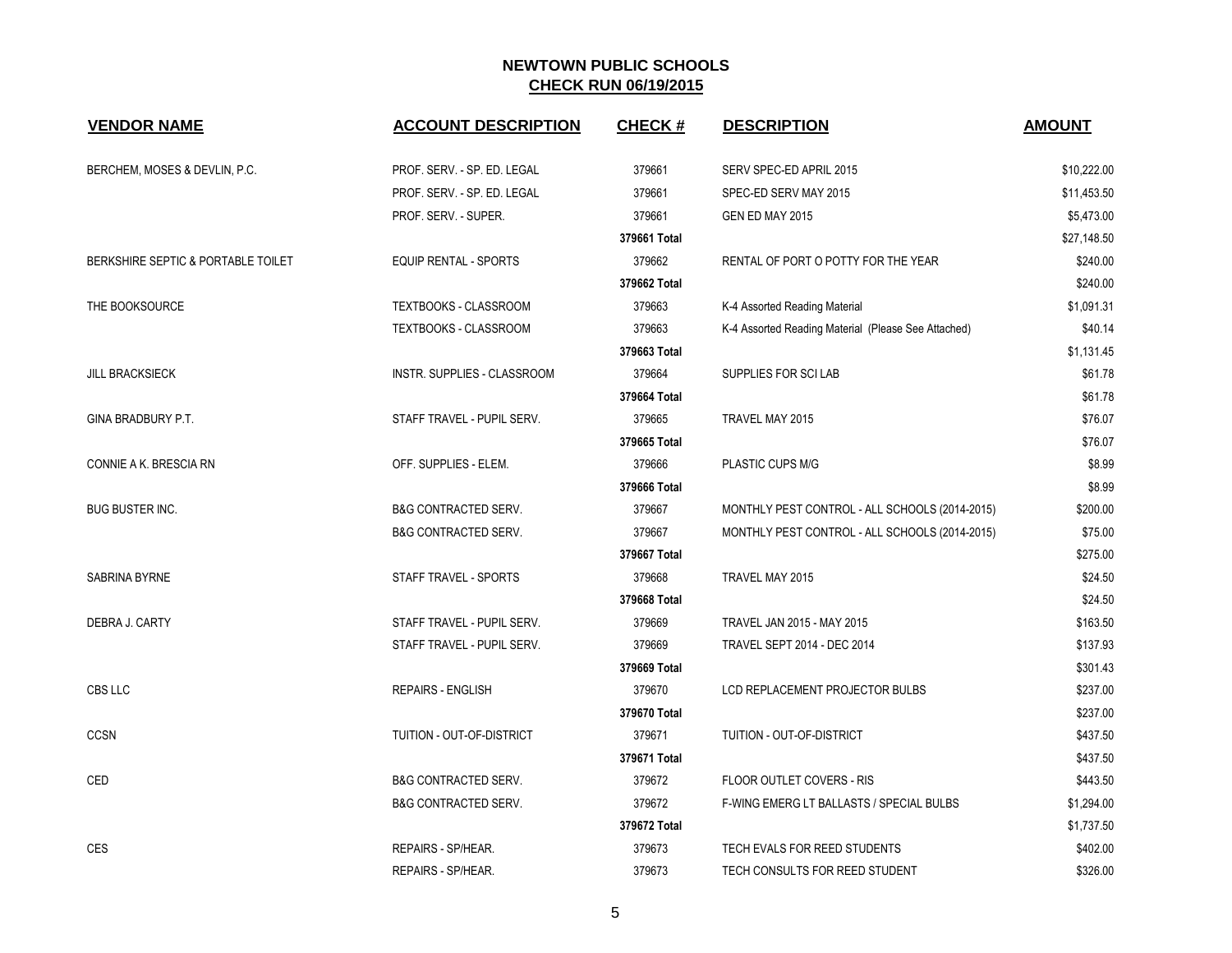| <b>VENDOR NAME</b>                 | <b>ACCOUNT DESCRIPTION</b>      | <b>CHECK#</b> | <b>DESCRIPTION</b>                                  | <b>AMOUNT</b> |
|------------------------------------|---------------------------------|---------------|-----------------------------------------------------|---------------|
| BERCHEM, MOSES & DEVLIN, P.C.      | PROF. SERV. - SP. ED. LEGAL     | 379661        | SERV SPEC-ED APRIL 2015                             | \$10,222.00   |
|                                    | PROF. SERV. - SP. ED. LEGAL     | 379661        | SPEC-ED SERV MAY 2015                               | \$11,453.50   |
|                                    | PROF. SERV. - SUPER.            | 379661        | GEN ED MAY 2015                                     | \$5,473.00    |
|                                    |                                 | 379661 Total  |                                                     | \$27,148.50   |
| BERKSHIRE SEPTIC & PORTABLE TOILET | <b>EQUIP RENTAL - SPORTS</b>    | 379662        | RENTAL OF PORT O POTTY FOR THE YEAR                 | \$240.00      |
|                                    |                                 | 379662 Total  |                                                     | \$240.00      |
| THE BOOKSOURCE                     | TEXTBOOKS - CLASSROOM           | 379663        | K-4 Assorted Reading Material                       | \$1,091.31    |
|                                    | TEXTBOOKS - CLASSROOM           | 379663        | K-4 Assorted Reading Material (Please See Attached) | \$40.14       |
|                                    |                                 | 379663 Total  |                                                     | \$1,131.45    |
| <b>JILL BRACKSIECK</b>             | INSTR. SUPPLIES - CLASSROOM     | 379664        | SUPPLIES FOR SCILAB                                 | \$61.78       |
|                                    |                                 | 379664 Total  |                                                     | \$61.78       |
| GINA BRADBURY P.T.                 | STAFF TRAVEL - PUPIL SERV.      | 379665        | TRAVEL MAY 2015                                     | \$76.07       |
|                                    |                                 | 379665 Total  |                                                     | \$76.07       |
| CONNIE A K. BRESCIA RN             | OFF. SUPPLIES - ELEM.           | 379666        | PLASTIC CUPS M/G                                    | \$8.99        |
|                                    |                                 | 379666 Total  |                                                     | \$8.99        |
| <b>BUG BUSTER INC.</b>             | <b>B&amp;G CONTRACTED SERV.</b> | 379667        | MONTHLY PEST CONTROL - ALL SCHOOLS (2014-2015)      | \$200.00      |
|                                    | <b>B&amp;G CONTRACTED SERV.</b> | 379667        | MONTHLY PEST CONTROL - ALL SCHOOLS (2014-2015)      | \$75.00       |
|                                    |                                 | 379667 Total  |                                                     | \$275.00      |
| <b>SABRINA BYRNE</b>               | STAFF TRAVEL - SPORTS           | 379668        | TRAVEL MAY 2015                                     | \$24.50       |
|                                    |                                 | 379668 Total  |                                                     | \$24.50       |
| DEBRA J. CARTY                     | STAFF TRAVEL - PUPIL SERV.      | 379669        | TRAVEL JAN 2015 - MAY 2015                          | \$163.50      |
|                                    | STAFF TRAVEL - PUPIL SERV.      | 379669        | TRAVEL SEPT 2014 - DEC 2014                         | \$137.93      |
|                                    |                                 | 379669 Total  |                                                     | \$301.43      |
| CBS LLC                            | <b>REPAIRS - ENGLISH</b>        | 379670        | LCD REPLACEMENT PROJECTOR BULBS                     | \$237.00      |
|                                    |                                 | 379670 Total  |                                                     | \$237.00      |
| CCSN                               | TUITION - OUT-OF-DISTRICT       | 379671        | TUITION - OUT-OF-DISTRICT                           | \$437.50      |
|                                    |                                 | 379671 Total  |                                                     | \$437.50      |
| CED                                | <b>B&amp;G CONTRACTED SERV.</b> | 379672        | <b>FLOOR OUTLET COVERS - RIS</b>                    | \$443.50      |
|                                    | <b>B&amp;G CONTRACTED SERV.</b> | 379672        | <b>F-WING EMERG LT BALLASTS / SPECIAL BULBS</b>     | \$1,294.00    |
|                                    |                                 | 379672 Total  |                                                     | \$1,737.50    |
| <b>CES</b>                         | REPAIRS - SP/HEAR.              | 379673        | TECH EVALS FOR REED STUDENTS                        | \$402.00      |
|                                    | REPAIRS - SP/HEAR.              | 379673        | TECH CONSULTS FOR REED STUDENT                      | \$326.00      |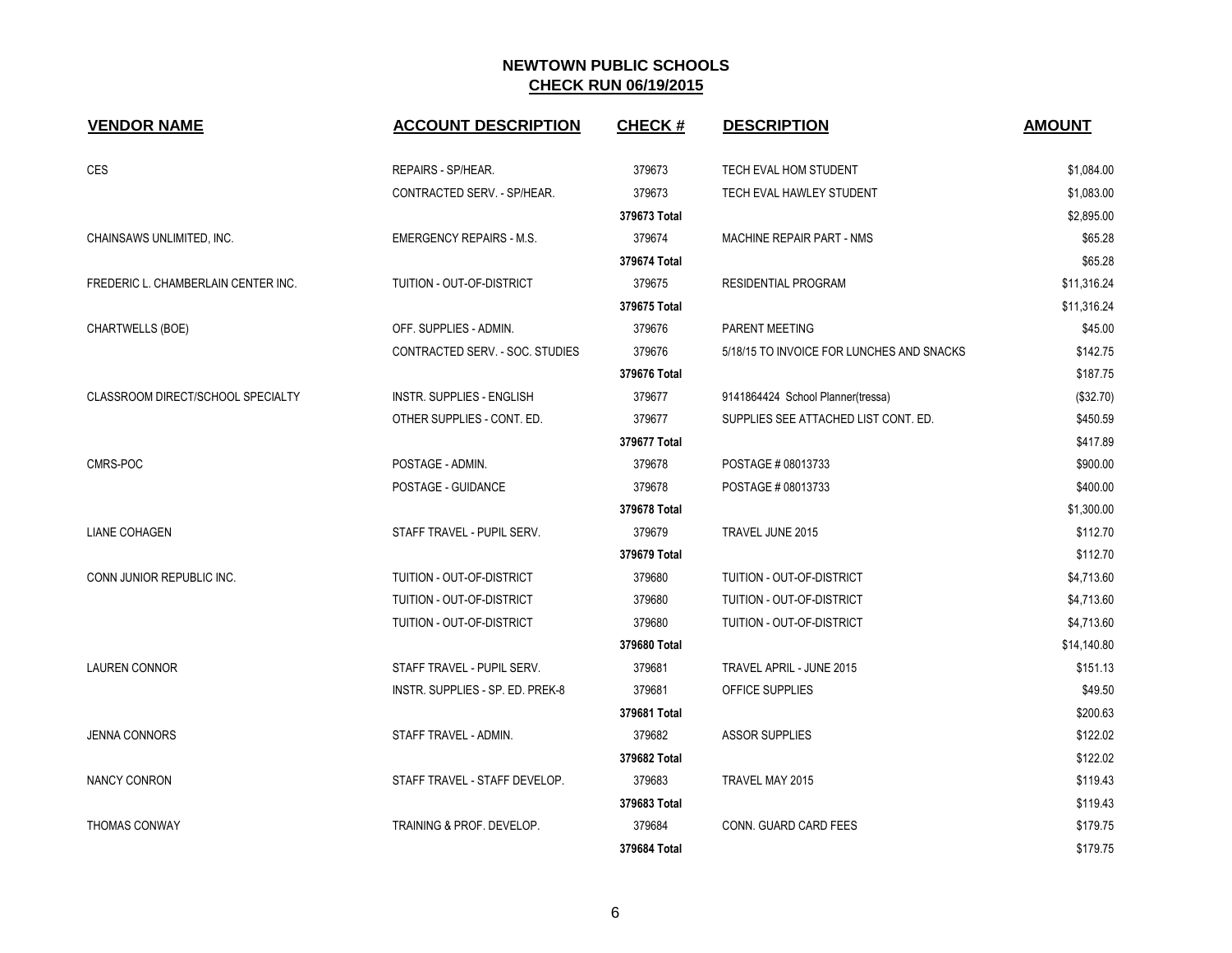| <b>VENDOR NAME</b>                  | <b>ACCOUNT DESCRIPTION</b>       | <b>CHECK#</b> | <b>DESCRIPTION</b>                        | <b>AMOUNT</b> |
|-------------------------------------|----------------------------------|---------------|-------------------------------------------|---------------|
| CES                                 | REPAIRS - SP/HEAR.               | 379673        | TECH EVAL HOM STUDENT                     | \$1,084.00    |
|                                     | CONTRACTED SERV. - SP/HEAR.      | 379673        | TECH EVAL HAWLEY STUDENT                  | \$1,083.00    |
|                                     |                                  | 379673 Total  |                                           | \$2,895.00    |
| CHAINSAWS UNLIMITED, INC.           | <b>EMERGENCY REPAIRS - M.S.</b>  | 379674        | MACHINE REPAIR PART - NMS                 | \$65.28       |
|                                     |                                  | 379674 Total  |                                           | \$65.28       |
| FREDERIC L. CHAMBERLAIN CENTER INC. | TUITION - OUT-OF-DISTRICT        | 379675        | RESIDENTIAL PROGRAM                       | \$11,316.24   |
|                                     |                                  | 379675 Total  |                                           | \$11,316.24   |
| CHARTWELLS (BOE)                    | OFF. SUPPLIES - ADMIN.           | 379676        | PARENT MEETING                            | \$45.00       |
|                                     | CONTRACTED SERV. - SOC. STUDIES  | 379676        | 5/18/15 TO INVOICE FOR LUNCHES AND SNACKS | \$142.75      |
|                                     |                                  | 379676 Total  |                                           | \$187.75      |
| CLASSROOM DIRECT/SCHOOL SPECIALTY   | <b>INSTR. SUPPLIES - ENGLISH</b> | 379677        | 9141864424 School Planner(tressa)         | (\$32.70)     |
|                                     | OTHER SUPPLIES - CONT. ED.       | 379677        | SUPPLIES SEE ATTACHED LIST CONT. ED.      | \$450.59      |
|                                     |                                  | 379677 Total  |                                           | \$417.89      |
| CMRS-POC                            | POSTAGE - ADMIN.                 | 379678        | POSTAGE # 08013733                        | \$900.00      |
|                                     | POSTAGE - GUIDANCE               | 379678        | POSTAGE # 08013733                        | \$400.00      |
|                                     |                                  | 379678 Total  |                                           | \$1,300.00    |
| <b>LIANE COHAGEN</b>                | STAFF TRAVEL - PUPIL SERV.       | 379679        | TRAVEL JUNE 2015                          | \$112.70      |
|                                     |                                  | 379679 Total  |                                           | \$112.70      |
| CONN JUNIOR REPUBLIC INC.           | TUITION - OUT-OF-DISTRICT        | 379680        | TUITION - OUT-OF-DISTRICT                 | \$4,713.60    |
|                                     | TUITION - OUT-OF-DISTRICT        | 379680        | TUITION - OUT-OF-DISTRICT                 | \$4,713.60    |
|                                     | TUITION - OUT-OF-DISTRICT        | 379680        | TUITION - OUT-OF-DISTRICT                 | \$4,713.60    |
|                                     |                                  | 379680 Total  |                                           | \$14,140.80   |
| <b>LAUREN CONNOR</b>                | STAFF TRAVEL - PUPIL SERV.       | 379681        | TRAVEL APRIL - JUNE 2015                  | \$151.13      |
|                                     | INSTR. SUPPLIES - SP. ED. PREK-8 | 379681        | OFFICE SUPPLIES                           | \$49.50       |
|                                     |                                  | 379681 Total  |                                           | \$200.63      |
| <b>JENNA CONNORS</b>                | STAFF TRAVEL - ADMIN.            | 379682        | <b>ASSOR SUPPLIES</b>                     | \$122.02      |
|                                     |                                  | 379682 Total  |                                           | \$122.02      |
| <b>NANCY CONRON</b>                 | STAFF TRAVEL - STAFF DEVELOP.    | 379683        | TRAVEL MAY 2015                           | \$119.43      |
|                                     |                                  | 379683 Total  |                                           | \$119.43      |
| <b>THOMAS CONWAY</b>                | TRAINING & PROF. DEVELOP.        | 379684        | CONN. GUARD CARD FEES                     | \$179.75      |
|                                     |                                  | 379684 Total  |                                           | \$179.75      |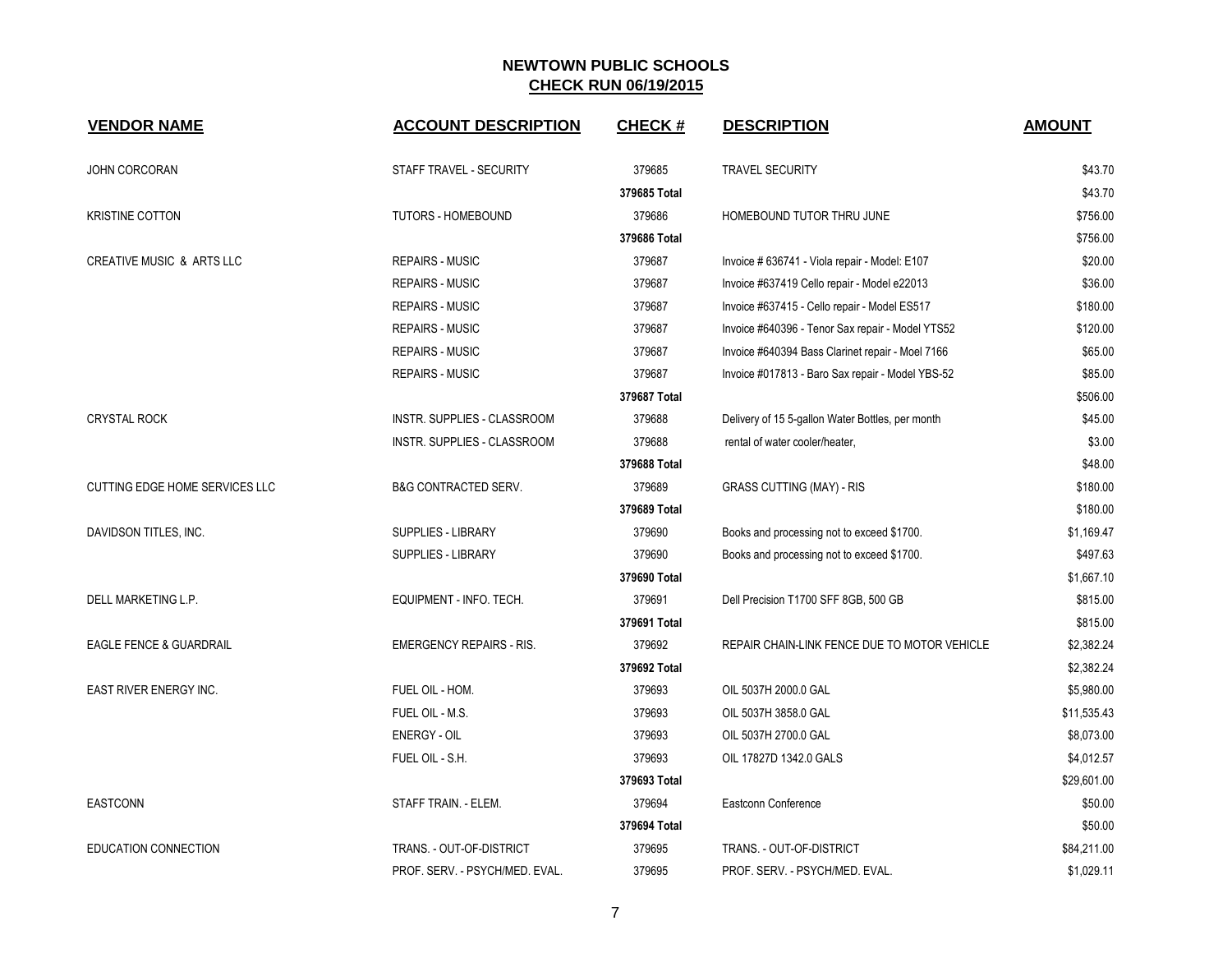| <b>VENDOR NAME</b>                 | <b>ACCOUNT DESCRIPTION</b>      | <b>CHECK#</b> | <b>DESCRIPTION</b>                               | <b>AMOUNT</b> |
|------------------------------------|---------------------------------|---------------|--------------------------------------------------|---------------|
| JOHN CORCORAN                      | STAFF TRAVEL - SECURITY         | 379685        | <b>TRAVEL SECURITY</b>                           | \$43.70       |
|                                    |                                 | 379685 Total  |                                                  | \$43.70       |
| <b>KRISTINE COTTON</b>             | <b>TUTORS - HOMEBOUND</b>       | 379686        | HOMEBOUND TUTOR THRU JUNE                        | \$756.00      |
|                                    |                                 | 379686 Total  |                                                  | \$756.00      |
| CREATIVE MUSIC & ARTS LLC          | <b>REPAIRS - MUSIC</b>          | 379687        | Invoice # 636741 - Viola repair - Model: E107    | \$20.00       |
|                                    | <b>REPAIRS - MUSIC</b>          | 379687        | Invoice #637419 Cello repair - Model e22013      | \$36.00       |
|                                    | <b>REPAIRS - MUSIC</b>          | 379687        | Invoice #637415 - Cello repair - Model ES517     | \$180.00      |
|                                    | <b>REPAIRS - MUSIC</b>          | 379687        | Invoice #640396 - Tenor Sax repair - Model YTS52 | \$120.00      |
|                                    | <b>REPAIRS - MUSIC</b>          | 379687        | Invoice #640394 Bass Clarinet repair - Moel 7166 | \$65.00       |
|                                    | <b>REPAIRS - MUSIC</b>          | 379687        | Invoice #017813 - Baro Sax repair - Model YBS-52 | \$85.00       |
|                                    |                                 | 379687 Total  |                                                  | \$506.00      |
| <b>CRYSTAL ROCK</b>                | INSTR. SUPPLIES - CLASSROOM     | 379688        | Delivery of 15 5-gallon Water Bottles, per month | \$45.00       |
|                                    | INSTR. SUPPLIES - CLASSROOM     | 379688        | rental of water cooler/heater,                   | \$3.00        |
|                                    |                                 | 379688 Total  |                                                  | \$48.00       |
| CUTTING EDGE HOME SERVICES LLC     | <b>B&amp;G CONTRACTED SERV.</b> | 379689        | <b>GRASS CUTTING (MAY) - RIS</b>                 | \$180.00      |
|                                    |                                 | 379689 Total  |                                                  | \$180.00      |
| DAVIDSON TITLES, INC.              | SUPPLIES - LIBRARY              | 379690        | Books and processing not to exceed \$1700.       | \$1,169.47    |
|                                    | SUPPLIES - LIBRARY              | 379690        | Books and processing not to exceed \$1700.       | \$497.63      |
|                                    |                                 | 379690 Total  |                                                  | \$1,667.10    |
| DELL MARKETING L.P.                | EQUIPMENT - INFO. TECH.         | 379691        | Dell Precision T1700 SFF 8GB, 500 GB             | \$815.00      |
|                                    |                                 | 379691 Total  |                                                  | \$815.00      |
| <b>EAGLE FENCE &amp; GUARDRAIL</b> | <b>EMERGENCY REPAIRS - RIS.</b> | 379692        | REPAIR CHAIN-LINK FENCE DUE TO MOTOR VEHICLE     | \$2,382.24    |
|                                    |                                 | 379692 Total  |                                                  | \$2,382.24    |
| EAST RIVER ENERGY INC.             | FUEL OIL - HOM.                 | 379693        | OIL 5037H 2000.0 GAL                             | \$5,980.00    |
|                                    | FUEL OIL - M.S.                 | 379693        | OIL 5037H 3858.0 GAL                             | \$11,535.43   |
|                                    | <b>ENERGY - OIL</b>             | 379693        | OIL 5037H 2700.0 GAL                             | \$8,073.00    |
|                                    | FUEL OIL - S.H.                 | 379693        | OIL 17827D 1342.0 GALS                           | \$4,012.57    |
|                                    |                                 | 379693 Total  |                                                  | \$29,601.00   |
| <b>EASTCONN</b>                    | STAFF TRAIN. - ELEM.            | 379694        | Eastconn Conference                              | \$50.00       |
|                                    |                                 | 379694 Total  |                                                  | \$50.00       |
| EDUCATION CONNECTION               | TRANS. - OUT-OF-DISTRICT        | 379695        | TRANS. - OUT-OF-DISTRICT                         | \$84,211.00   |
|                                    | PROF. SERV. - PSYCH/MED. EVAL.  | 379695        | PROF. SERV. - PSYCH/MED. EVAL.                   | \$1,029.11    |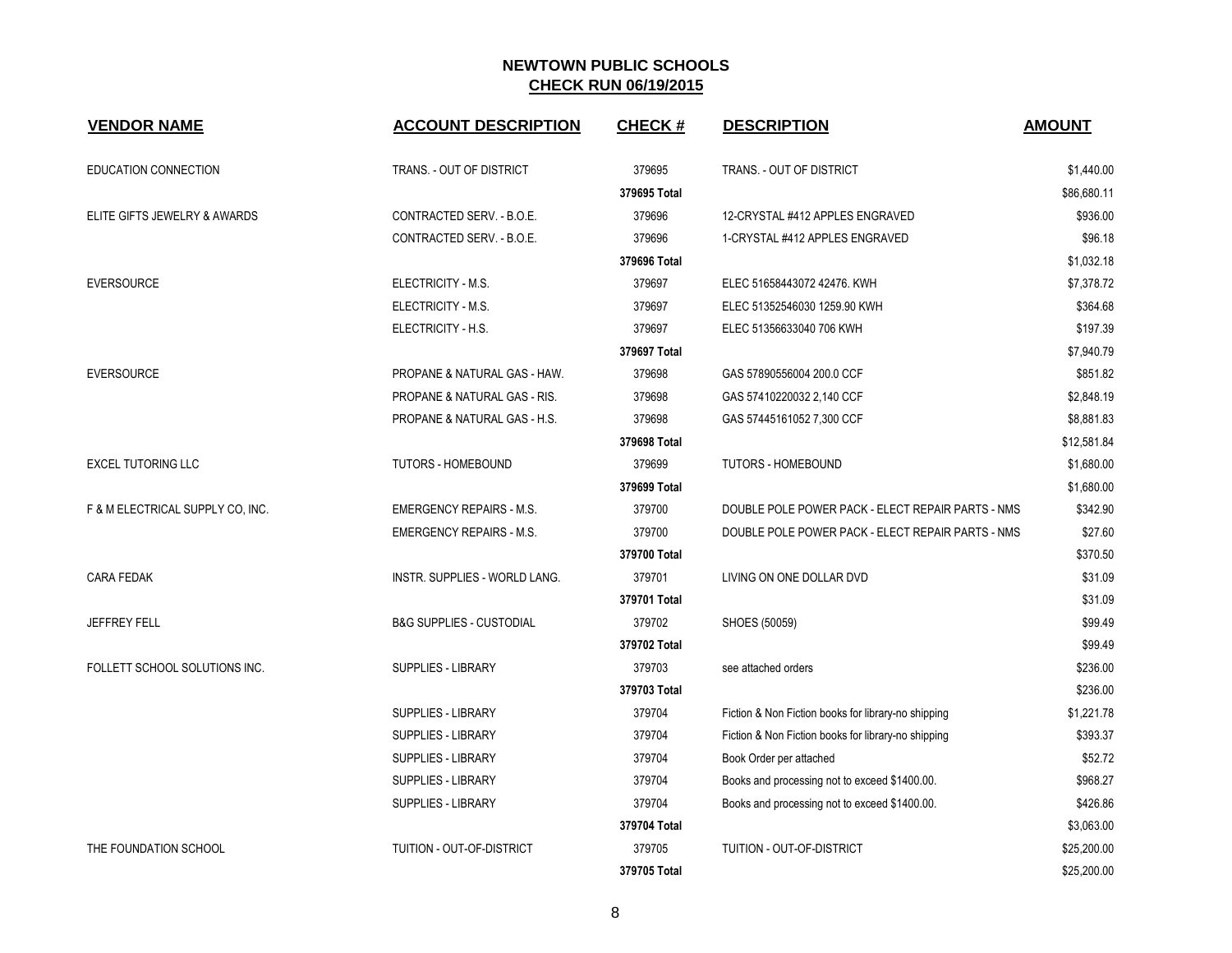| <b>VENDOR NAME</b>               | <b>ACCOUNT DESCRIPTION</b>           | <b>CHECK#</b> | <b>DESCRIPTION</b>                                  | <b>AMOUNT</b> |
|----------------------------------|--------------------------------------|---------------|-----------------------------------------------------|---------------|
| EDUCATION CONNECTION             | TRANS. - OUT OF DISTRICT             | 379695        | TRANS. - OUT OF DISTRICT                            | \$1,440.00    |
|                                  |                                      | 379695 Total  |                                                     | \$86,680.11   |
| ELITE GIFTS JEWELRY & AWARDS     | CONTRACTED SERV. - B.O.E.            | 379696        | 12-CRYSTAL #412 APPLES ENGRAVED                     | \$936.00      |
|                                  | CONTRACTED SERV. - B.O.E.            | 379696        | 1-CRYSTAL #412 APPLES ENGRAVED                      | \$96.18       |
|                                  |                                      | 379696 Total  |                                                     | \$1,032.18    |
| <b>EVERSOURCE</b>                | ELECTRICITY - M.S.                   | 379697        | ELEC 51658443072 42476. KWH                         | \$7,378.72    |
|                                  | ELECTRICITY - M.S.                   | 379697        | ELEC 51352546030 1259.90 KWH                        | \$364.68      |
|                                  | ELECTRICITY - H.S.                   | 379697        | ELEC 51356633040 706 KWH                            | \$197.39      |
|                                  |                                      | 379697 Total  |                                                     | \$7,940.79    |
| <b>EVERSOURCE</b>                | PROPANE & NATURAL GAS - HAW.         | 379698        | GAS 57890556004 200.0 CCF                           | \$851.82      |
|                                  | PROPANE & NATURAL GAS - RIS.         | 379698        | GAS 57410220032 2,140 CCF                           | \$2,848.19    |
|                                  | PROPANE & NATURAL GAS - H.S.         | 379698        | GAS 57445161052 7,300 CCF                           | \$8,881.83    |
|                                  |                                      | 379698 Total  |                                                     | \$12,581.84   |
| <b>EXCEL TUTORING LLC</b>        | <b>TUTORS - HOMEBOUND</b>            | 379699        | <b>TUTORS - HOMEBOUND</b>                           | \$1,680.00    |
|                                  |                                      | 379699 Total  |                                                     | \$1,680.00    |
| F & M ELECTRICAL SUPPLY CO, INC. | <b>EMERGENCY REPAIRS - M.S.</b>      | 379700        | DOUBLE POLE POWER PACK - ELECT REPAIR PARTS - NMS   | \$342.90      |
|                                  | <b>EMERGENCY REPAIRS - M.S.</b>      | 379700        | DOUBLE POLE POWER PACK - ELECT REPAIR PARTS - NMS   | \$27.60       |
|                                  |                                      | 379700 Total  |                                                     | \$370.50      |
| <b>CARA FEDAK</b>                | <b>INSTR. SUPPLIES - WORLD LANG.</b> | 379701        | LIVING ON ONE DOLLAR DVD                            | \$31.09       |
|                                  |                                      | 379701 Total  |                                                     | \$31.09       |
| <b>JEFFREY FELL</b>              | <b>B&amp;G SUPPLIES - CUSTODIAL</b>  | 379702        | SHOES (50059)                                       | \$99.49       |
|                                  |                                      | 379702 Total  |                                                     | \$99.49       |
| FOLLETT SCHOOL SOLUTIONS INC.    | SUPPLIES - LIBRARY                   | 379703        | see attached orders                                 | \$236.00      |
|                                  |                                      | 379703 Total  |                                                     | \$236.00      |
|                                  | <b>SUPPLIES - LIBRARY</b>            | 379704        | Fiction & Non Fiction books for library-no shipping | \$1,221.78    |
|                                  | SUPPLIES - LIBRARY                   | 379704        | Fiction & Non Fiction books for library-no shipping | \$393.37      |
|                                  | SUPPLIES - LIBRARY                   | 379704        | Book Order per attached                             | \$52.72       |
|                                  | SUPPLIES - LIBRARY                   | 379704        | Books and processing not to exceed \$1400.00.       | \$968.27      |
|                                  | <b>SUPPLIES - LIBRARY</b>            | 379704        | Books and processing not to exceed \$1400.00.       | \$426.86      |
|                                  |                                      | 379704 Total  |                                                     | \$3,063.00    |
| THE FOUNDATION SCHOOL            | TUITION - OUT-OF-DISTRICT            | 379705        | TUITION - OUT-OF-DISTRICT                           | \$25,200.00   |
|                                  |                                      | 379705 Total  |                                                     | \$25,200.00   |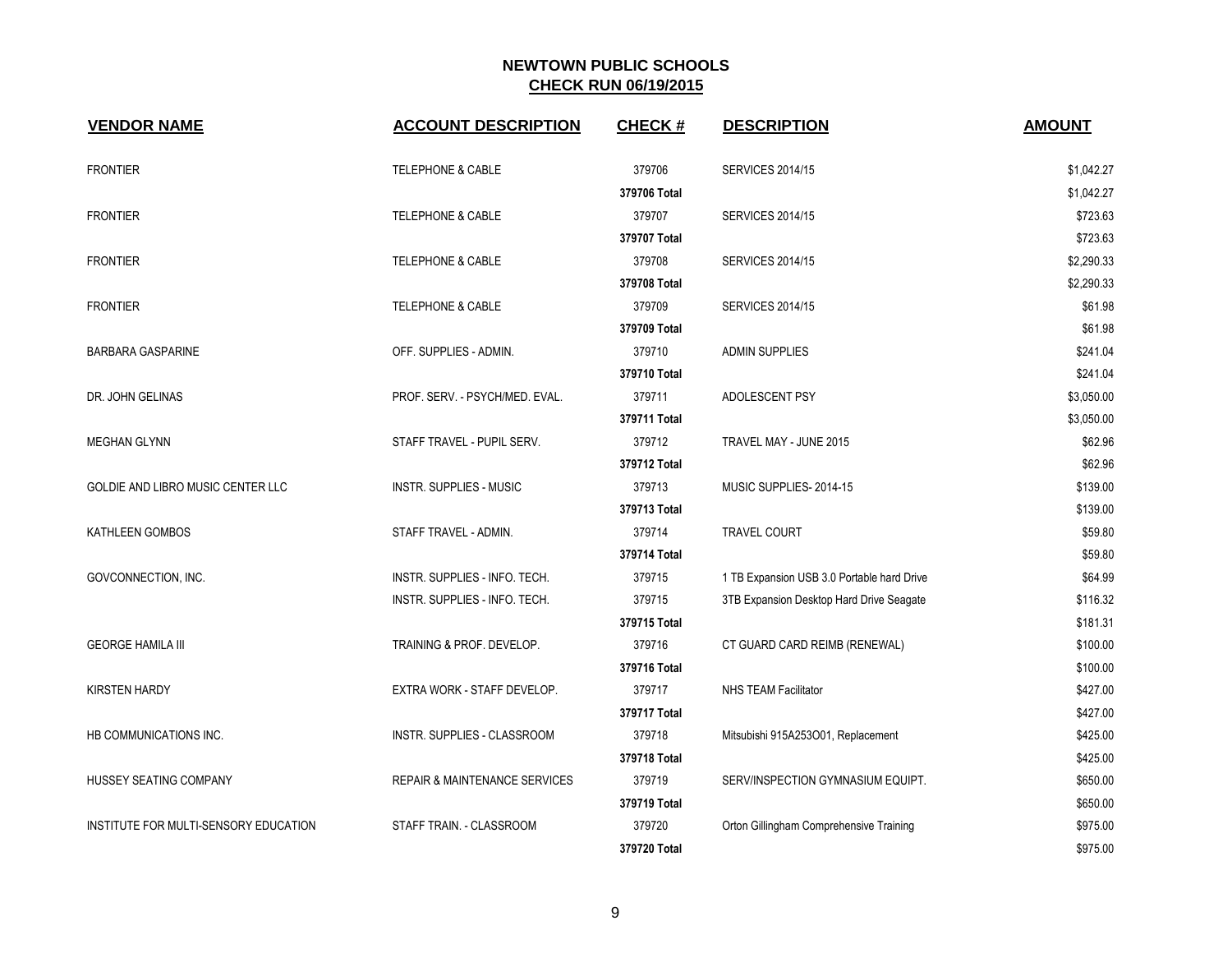| <b>VENDOR NAME</b>                       | <b>ACCOUNT DESCRIPTION</b>               | <b>CHECK#</b> | <b>DESCRIPTION</b>                         | <b>AMOUNT</b> |
|------------------------------------------|------------------------------------------|---------------|--------------------------------------------|---------------|
| <b>FRONTIER</b>                          | <b>TELEPHONE &amp; CABLE</b>             | 379706        | <b>SERVICES 2014/15</b>                    | \$1,042.27    |
|                                          |                                          | 379706 Total  |                                            | \$1,042.27    |
| <b>FRONTIER</b>                          | <b>TELEPHONE &amp; CABLE</b>             | 379707        | <b>SERVICES 2014/15</b>                    | \$723.63      |
|                                          |                                          | 379707 Total  |                                            | \$723.63      |
| <b>FRONTIER</b>                          | <b>TELEPHONE &amp; CABLE</b>             | 379708        | <b>SERVICES 2014/15</b>                    | \$2,290.33    |
|                                          |                                          | 379708 Total  |                                            | \$2,290.33    |
| <b>FRONTIER</b>                          | <b>TELEPHONE &amp; CABLE</b>             | 379709        | <b>SERVICES 2014/15</b>                    | \$61.98       |
|                                          |                                          | 379709 Total  |                                            | \$61.98       |
| <b>BARBARA GASPARINE</b>                 | OFF. SUPPLIES - ADMIN.                   | 379710        | <b>ADMIN SUPPLIES</b>                      | \$241.04      |
|                                          |                                          | 379710 Total  |                                            | \$241.04      |
| DR. JOHN GELINAS                         | PROF. SERV. - PSYCH/MED. EVAL.           | 379711        | ADOLESCENT PSY                             | \$3,050.00    |
|                                          |                                          | 379711 Total  |                                            | \$3,050.00    |
| <b>MEGHAN GLYNN</b>                      | STAFF TRAVEL - PUPIL SERV.               | 379712        | TRAVEL MAY - JUNE 2015                     | \$62.96       |
|                                          |                                          | 379712 Total  |                                            | \$62.96       |
| <b>GOLDIE AND LIBRO MUSIC CENTER LLC</b> | <b>INSTR. SUPPLIES - MUSIC</b>           | 379713        | MUSIC SUPPLIES-2014-15                     | \$139.00      |
|                                          |                                          | 379713 Total  |                                            | \$139.00      |
| KATHLEEN GOMBOS                          | STAFF TRAVEL - ADMIN.                    | 379714        | <b>TRAVEL COURT</b>                        | \$59.80       |
|                                          |                                          | 379714 Total  |                                            | \$59.80       |
| GOVCONNECTION, INC.                      | INSTR. SUPPLIES - INFO. TECH.            | 379715        | 1 TB Expansion USB 3.0 Portable hard Drive | \$64.99       |
|                                          | INSTR. SUPPLIES - INFO. TECH.            | 379715        | 3TB Expansion Desktop Hard Drive Seagate   | \$116.32      |
|                                          |                                          | 379715 Total  |                                            | \$181.31      |
| <b>GEORGE HAMILA III</b>                 | TRAINING & PROF. DEVELOP.                | 379716        | CT GUARD CARD REIMB (RENEWAL)              | \$100.00      |
|                                          |                                          | 379716 Total  |                                            | \$100.00      |
| <b>KIRSTEN HARDY</b>                     | EXTRA WORK - STAFF DEVELOP.              | 379717        | <b>NHS TEAM Facilitator</b>                | \$427.00      |
|                                          |                                          | 379717 Total  |                                            | \$427.00      |
| HB COMMUNICATIONS INC.                   | INSTR. SUPPLIES - CLASSROOM              | 379718        | Mitsubishi 915A253O01, Replacement         | \$425.00      |
|                                          |                                          | 379718 Total  |                                            | \$425.00      |
| HUSSEY SEATING COMPANY                   | <b>REPAIR &amp; MAINTENANCE SERVICES</b> | 379719        | SERV/INSPECTION GYMNASIUM EQUIPT.          | \$650.00      |
|                                          |                                          | 379719 Total  |                                            | \$650.00      |
| INSTITUTE FOR MULTI-SENSORY EDUCATION    | STAFF TRAIN. - CLASSROOM                 | 379720        | Orton Gillingham Comprehensive Training    | \$975.00      |
|                                          |                                          | 379720 Total  |                                            | \$975.00      |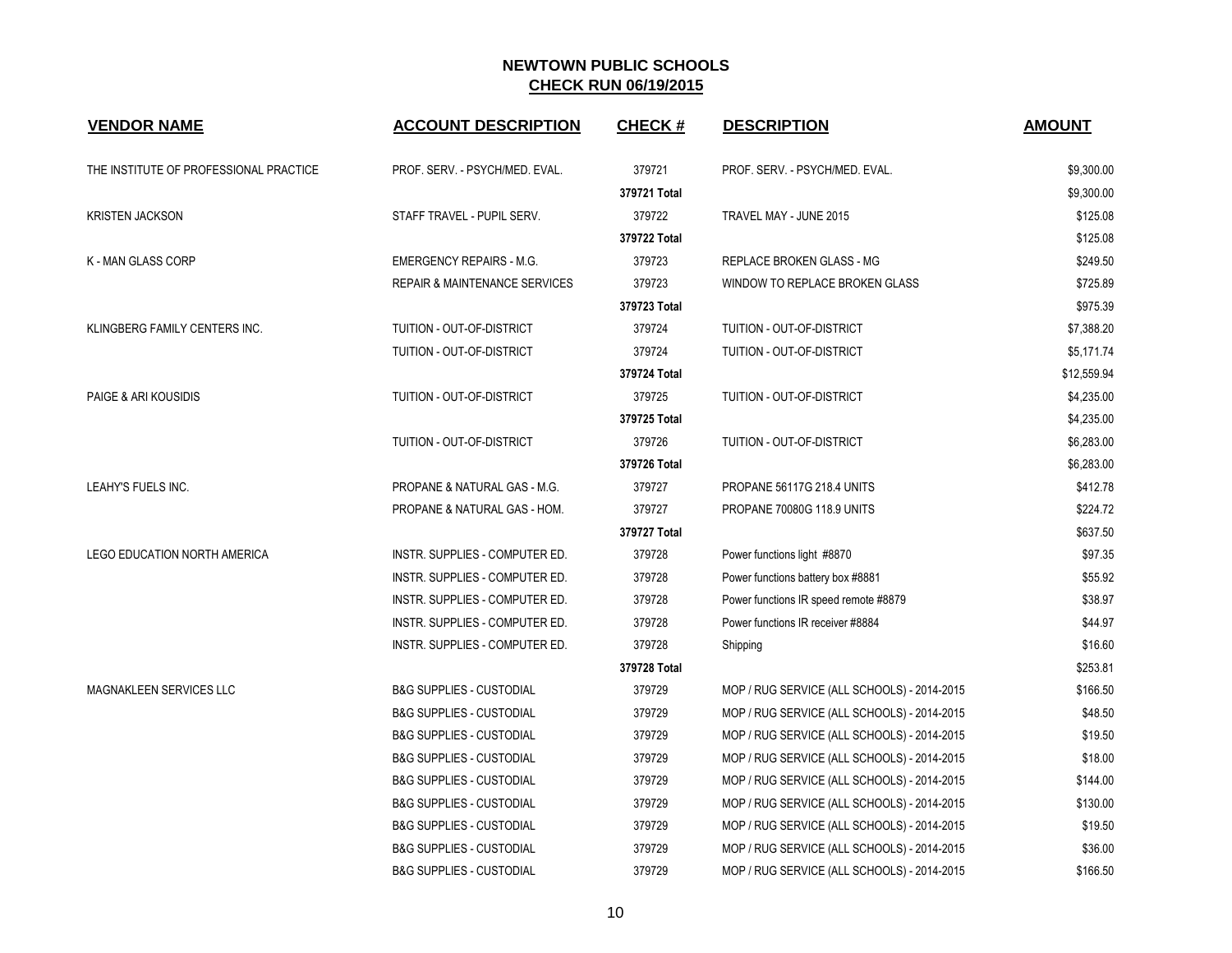| <b>VENDOR NAME</b>                     | <b>ACCOUNT DESCRIPTION</b>               | <b>CHECK#</b> | <b>DESCRIPTION</b>                          | <b>AMOUNT</b> |
|----------------------------------------|------------------------------------------|---------------|---------------------------------------------|---------------|
| THE INSTITUTE OF PROFESSIONAL PRACTICE | PROF. SERV. - PSYCH/MED. EVAL.           | 379721        | PROF. SERV. - PSYCH/MED. EVAL.              | \$9,300.00    |
|                                        |                                          | 379721 Total  |                                             | \$9,300.00    |
| <b>KRISTEN JACKSON</b>                 | STAFF TRAVEL - PUPIL SERV.               | 379722        | TRAVEL MAY - JUNE 2015                      | \$125.08      |
|                                        |                                          | 379722 Total  |                                             | \$125.08      |
| K - MAN GLASS CORP                     | <b>EMERGENCY REPAIRS - M.G.</b>          | 379723        | REPLACE BROKEN GLASS - MG                   | \$249.50      |
|                                        | <b>REPAIR &amp; MAINTENANCE SERVICES</b> | 379723        | WINDOW TO REPLACE BROKEN GLASS              | \$725.89      |
|                                        |                                          | 379723 Total  |                                             | \$975.39      |
| KLINGBERG FAMILY CENTERS INC.          | TUITION - OUT-OF-DISTRICT                | 379724        | TUITION - OUT-OF-DISTRICT                   | \$7,388.20    |
|                                        | TUITION - OUT-OF-DISTRICT                | 379724        | TUITION - OUT-OF-DISTRICT                   | \$5,171.74    |
|                                        |                                          | 379724 Total  |                                             | \$12,559.94   |
| PAIGE & ARI KOUSIDIS                   | TUITION - OUT-OF-DISTRICT                | 379725        | <b>TUITION - OUT-OF-DISTRICT</b>            | \$4,235.00    |
|                                        |                                          | 379725 Total  |                                             | \$4,235.00    |
|                                        | TUITION - OUT-OF-DISTRICT                | 379726        | TUITION - OUT-OF-DISTRICT                   | \$6,283.00    |
|                                        |                                          | 379726 Total  |                                             | \$6,283.00    |
| LEAHY'S FUELS INC.                     | PROPANE & NATURAL GAS - M.G.             | 379727        | PROPANE 56117G 218.4 UNITS                  | \$412.78      |
|                                        | PROPANE & NATURAL GAS - HOM.             | 379727        | PROPANE 70080G 118.9 UNITS                  | \$224.72      |
|                                        |                                          | 379727 Total  |                                             | \$637.50      |
| <b>LEGO EDUCATION NORTH AMERICA</b>    | INSTR. SUPPLIES - COMPUTER ED.           | 379728        | Power functions light #8870                 | \$97.35       |
|                                        | INSTR. SUPPLIES - COMPUTER ED.           | 379728        | Power functions battery box #8881           | \$55.92       |
|                                        | INSTR. SUPPLIES - COMPUTER ED.           | 379728        | Power functions IR speed remote #8879       | \$38.97       |
|                                        | INSTR. SUPPLIES - COMPUTER ED.           | 379728        | Power functions IR receiver #8884           | \$44.97       |
|                                        | INSTR. SUPPLIES - COMPUTER ED.           | 379728        | Shipping                                    | \$16.60       |
|                                        |                                          | 379728 Total  |                                             | \$253.81      |
| <b>MAGNAKLEEN SERVICES LLC</b>         | <b>B&amp;G SUPPLIES - CUSTODIAL</b>      | 379729        | MOP / RUG SERVICE (ALL SCHOOLS) - 2014-2015 | \$166.50      |
|                                        | <b>B&amp;G SUPPLIES - CUSTODIAL</b>      | 379729        | MOP / RUG SERVICE (ALL SCHOOLS) - 2014-2015 | \$48.50       |
|                                        | <b>B&amp;G SUPPLIES - CUSTODIAL</b>      | 379729        | MOP / RUG SERVICE (ALL SCHOOLS) - 2014-2015 | \$19.50       |
|                                        | <b>B&amp;G SUPPLIES - CUSTODIAL</b>      | 379729        | MOP / RUG SERVICE (ALL SCHOOLS) - 2014-2015 | \$18.00       |
|                                        | <b>B&amp;G SUPPLIES - CUSTODIAL</b>      | 379729        | MOP / RUG SERVICE (ALL SCHOOLS) - 2014-2015 | \$144.00      |
|                                        | <b>B&amp;G SUPPLIES - CUSTODIAL</b>      | 379729        | MOP / RUG SERVICE (ALL SCHOOLS) - 2014-2015 | \$130.00      |
|                                        | <b>B&amp;G SUPPLIES - CUSTODIAL</b>      | 379729        | MOP / RUG SERVICE (ALL SCHOOLS) - 2014-2015 | \$19.50       |
|                                        | <b>B&amp;G SUPPLIES - CUSTODIAL</b>      | 379729        | MOP / RUG SERVICE (ALL SCHOOLS) - 2014-2015 | \$36.00       |
|                                        | <b>B&amp;G SUPPLIES - CUSTODIAL</b>      | 379729        | MOP / RUG SERVICE (ALL SCHOOLS) - 2014-2015 | \$166.50      |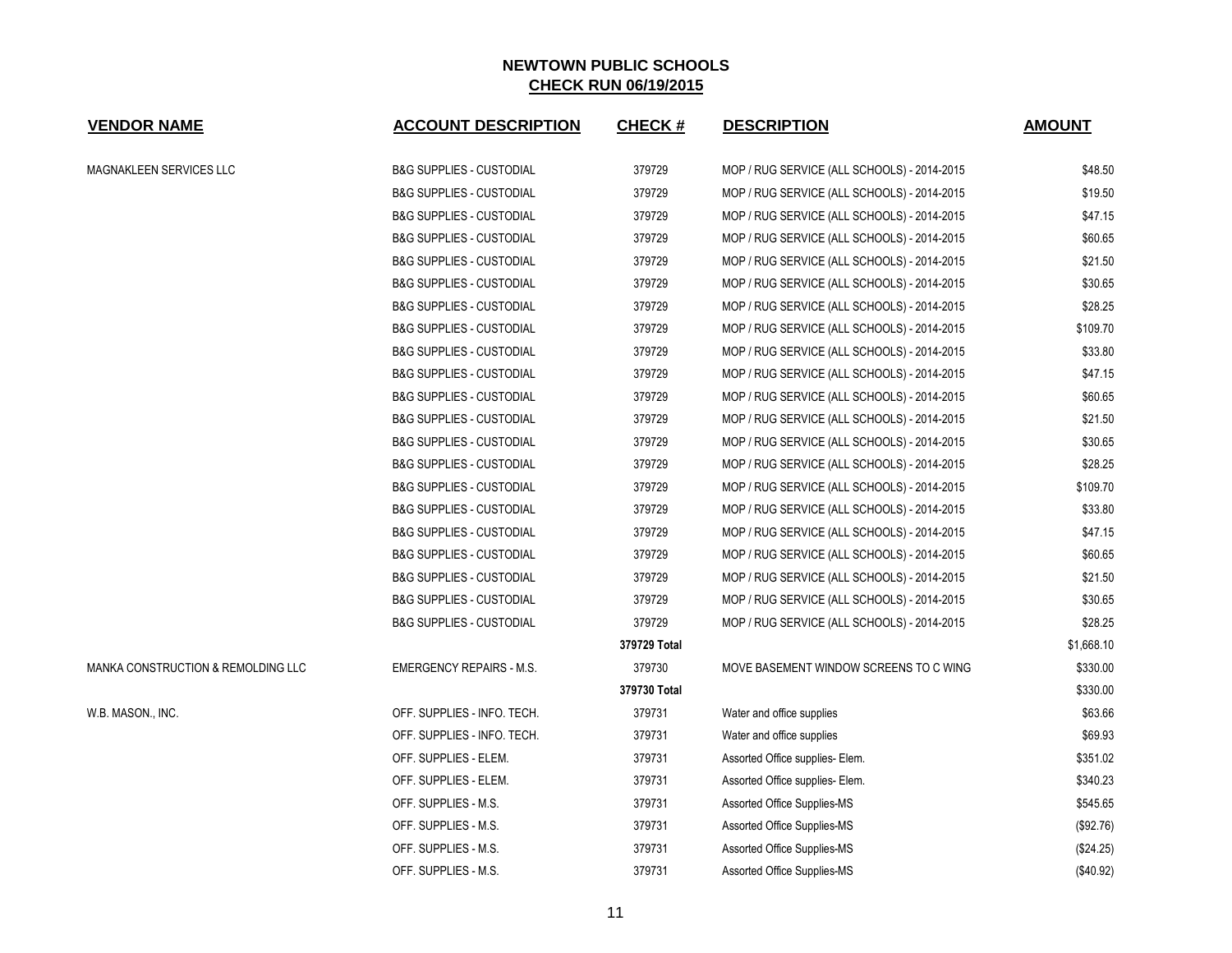| <b>VENDOR NAME</b>                 | <b>ACCOUNT DESCRIPTION</b>          | <b>CHECK#</b> | <b>DESCRIPTION</b>                          | <b>AMOUNT</b> |
|------------------------------------|-------------------------------------|---------------|---------------------------------------------|---------------|
| MAGNAKLEEN SERVICES LLC            | <b>B&amp;G SUPPLIES - CUSTODIAL</b> | 379729        | MOP / RUG SERVICE (ALL SCHOOLS) - 2014-2015 | \$48.50       |
|                                    | <b>B&amp;G SUPPLIES - CUSTODIAL</b> | 379729        | MOP / RUG SERVICE (ALL SCHOOLS) - 2014-2015 | \$19.50       |
|                                    | <b>B&amp;G SUPPLIES - CUSTODIAL</b> | 379729        | MOP / RUG SERVICE (ALL SCHOOLS) - 2014-2015 | \$47.15       |
|                                    | <b>B&amp;G SUPPLIES - CUSTODIAL</b> | 379729        | MOP / RUG SERVICE (ALL SCHOOLS) - 2014-2015 | \$60.65       |
|                                    | <b>B&amp;G SUPPLIES - CUSTODIAL</b> | 379729        | MOP / RUG SERVICE (ALL SCHOOLS) - 2014-2015 | \$21.50       |
|                                    | <b>B&amp;G SUPPLIES - CUSTODIAL</b> | 379729        | MOP / RUG SERVICE (ALL SCHOOLS) - 2014-2015 | \$30.65       |
|                                    | <b>B&amp;G SUPPLIES - CUSTODIAL</b> | 379729        | MOP / RUG SERVICE (ALL SCHOOLS) - 2014-2015 | \$28.25       |
|                                    | <b>B&amp;G SUPPLIES - CUSTODIAL</b> | 379729        | MOP / RUG SERVICE (ALL SCHOOLS) - 2014-2015 | \$109.70      |
|                                    | <b>B&amp;G SUPPLIES - CUSTODIAL</b> | 379729        | MOP / RUG SERVICE (ALL SCHOOLS) - 2014-2015 | \$33.80       |
|                                    | <b>B&amp;G SUPPLIES - CUSTODIAL</b> | 379729        | MOP / RUG SERVICE (ALL SCHOOLS) - 2014-2015 | \$47.15       |
|                                    | <b>B&amp;G SUPPLIES - CUSTODIAL</b> | 379729        | MOP / RUG SERVICE (ALL SCHOOLS) - 2014-2015 | \$60.65       |
|                                    | <b>B&amp;G SUPPLIES - CUSTODIAL</b> | 379729        | MOP / RUG SERVICE (ALL SCHOOLS) - 2014-2015 | \$21.50       |
|                                    | <b>B&amp;G SUPPLIES - CUSTODIAL</b> | 379729        | MOP / RUG SERVICE (ALL SCHOOLS) - 2014-2015 | \$30.65       |
|                                    | <b>B&amp;G SUPPLIES - CUSTODIAL</b> | 379729        | MOP / RUG SERVICE (ALL SCHOOLS) - 2014-2015 | \$28.25       |
|                                    | <b>B&amp;G SUPPLIES - CUSTODIAL</b> | 379729        | MOP / RUG SERVICE (ALL SCHOOLS) - 2014-2015 | \$109.70      |
|                                    | <b>B&amp;G SUPPLIES - CUSTODIAL</b> | 379729        | MOP / RUG SERVICE (ALL SCHOOLS) - 2014-2015 | \$33.80       |
|                                    | <b>B&amp;G SUPPLIES - CUSTODIAL</b> | 379729        | MOP / RUG SERVICE (ALL SCHOOLS) - 2014-2015 | \$47.15       |
|                                    | <b>B&amp;G SUPPLIES - CUSTODIAL</b> | 379729        | MOP / RUG SERVICE (ALL SCHOOLS) - 2014-2015 | \$60.65       |
|                                    | <b>B&amp;G SUPPLIES - CUSTODIAL</b> | 379729        | MOP / RUG SERVICE (ALL SCHOOLS) - 2014-2015 | \$21.50       |
|                                    | <b>B&amp;G SUPPLIES - CUSTODIAL</b> | 379729        | MOP / RUG SERVICE (ALL SCHOOLS) - 2014-2015 | \$30.65       |
|                                    | <b>B&amp;G SUPPLIES - CUSTODIAL</b> | 379729        | MOP / RUG SERVICE (ALL SCHOOLS) - 2014-2015 | \$28.25       |
|                                    |                                     | 379729 Total  |                                             | \$1,668.10    |
| MANKA CONSTRUCTION & REMOLDING LLC | <b>EMERGENCY REPAIRS - M.S.</b>     | 379730        | MOVE BASEMENT WINDOW SCREENS TO C WING      | \$330.00      |
|                                    |                                     | 379730 Total  |                                             | \$330.00      |
| W.B. MASON., INC.                  | OFF. SUPPLIES - INFO. TECH.         | 379731        | Water and office supplies                   | \$63.66       |
|                                    | OFF. SUPPLIES - INFO. TECH.         | 379731        | Water and office supplies                   | \$69.93       |
|                                    | OFF. SUPPLIES - ELEM.               | 379731        | Assorted Office supplies- Elem.             | \$351.02      |
|                                    | OFF. SUPPLIES - ELEM.               | 379731        | Assorted Office supplies- Elem.             | \$340.23      |
|                                    | OFF. SUPPLIES - M.S.                | 379731        | Assorted Office Supplies-MS                 | \$545.65      |
|                                    | OFF. SUPPLIES - M.S.                | 379731        | Assorted Office Supplies-MS                 | (\$92.76)     |
|                                    | OFF. SUPPLIES - M.S.                | 379731        | Assorted Office Supplies-MS                 | (\$24.25)     |
|                                    | OFF. SUPPLIES - M.S.                | 379731        | Assorted Office Supplies-MS                 | (\$40.92)     |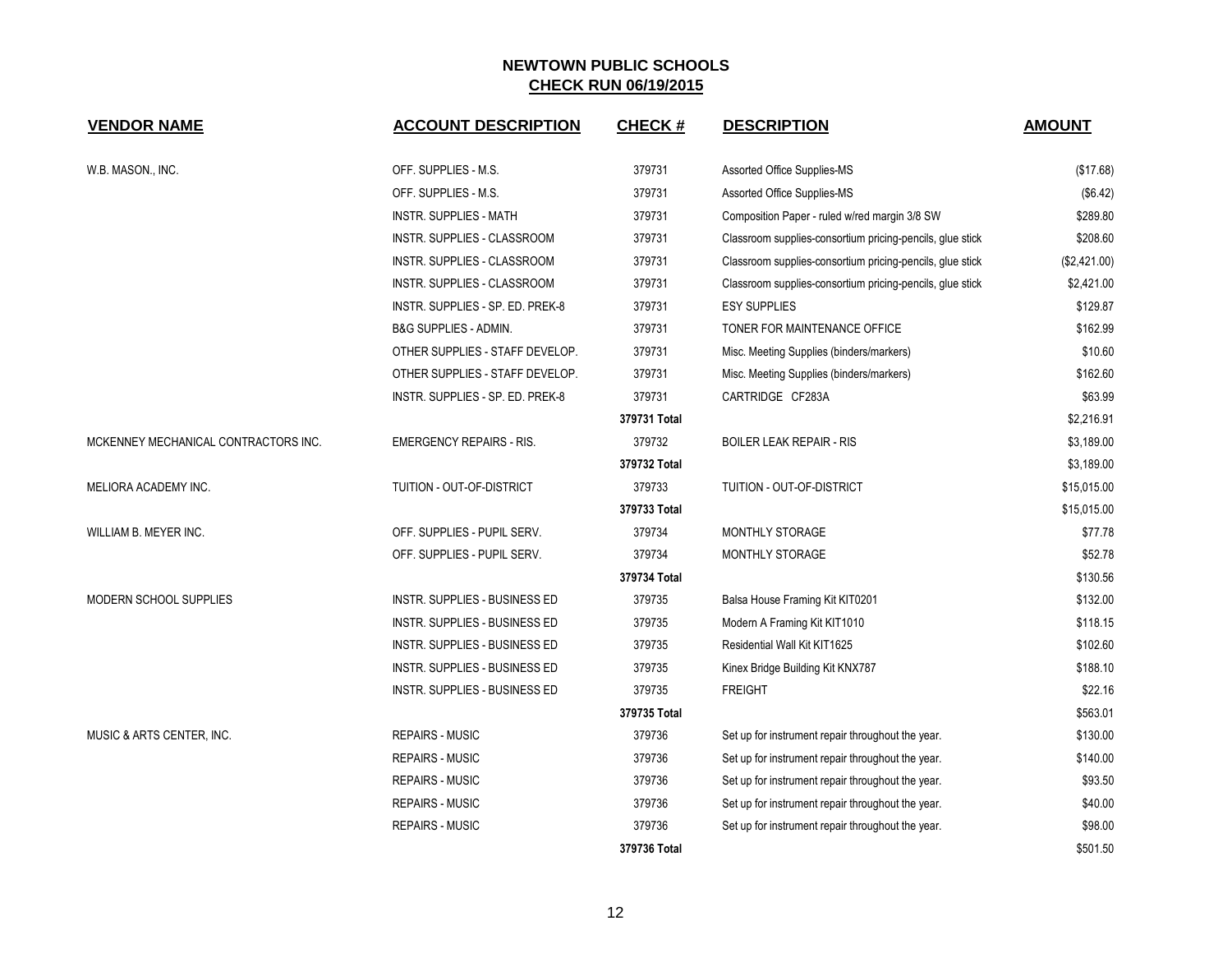| <b>VENDOR NAME</b>                   | <b>ACCOUNT DESCRIPTION</b>           | <b>CHECK#</b> | <b>DESCRIPTION</b>                                        | <b>AMOUNT</b> |
|--------------------------------------|--------------------------------------|---------------|-----------------------------------------------------------|---------------|
| W.B. MASON., INC.                    | OFF. SUPPLIES - M.S.                 | 379731        | <b>Assorted Office Supplies-MS</b>                        | (\$17.68)     |
|                                      | OFF. SUPPLIES - M.S.                 | 379731        | <b>Assorted Office Supplies-MS</b>                        | (\$6.42)      |
|                                      | <b>INSTR. SUPPLIES - MATH</b>        | 379731        | Composition Paper - ruled w/red margin 3/8 SW             | \$289.80      |
|                                      | INSTR. SUPPLIES - CLASSROOM          | 379731        | Classroom supplies-consortium pricing-pencils, glue stick | \$208.60      |
|                                      | INSTR. SUPPLIES - CLASSROOM          | 379731        | Classroom supplies-consortium pricing-pencils, glue stick | (\$2,421.00)  |
|                                      | INSTR. SUPPLIES - CLASSROOM          | 379731        | Classroom supplies-consortium pricing-pencils, glue stick | \$2,421.00    |
|                                      | INSTR. SUPPLIES - SP. ED. PREK-8     | 379731        | <b>ESY SUPPLIES</b>                                       | \$129.87      |
|                                      | <b>B&amp;G SUPPLIES - ADMIN.</b>     | 379731        | TONER FOR MAINTENANCE OFFICE                              | \$162.99      |
|                                      | OTHER SUPPLIES - STAFF DEVELOP.      | 379731        | Misc. Meeting Supplies (binders/markers)                  | \$10.60       |
|                                      | OTHER SUPPLIES - STAFF DEVELOP.      | 379731        | Misc. Meeting Supplies (binders/markers)                  | \$162.60      |
|                                      | INSTR. SUPPLIES - SP. ED. PREK-8     | 379731        | CARTRIDGE CF283A                                          | \$63.99       |
|                                      |                                      | 379731 Total  |                                                           | \$2,216.91    |
| MCKENNEY MECHANICAL CONTRACTORS INC. | <b>EMERGENCY REPAIRS - RIS.</b>      | 379732        | <b>BOILER LEAK REPAIR - RIS</b>                           | \$3,189.00    |
|                                      |                                      | 379732 Total  |                                                           | \$3,189.00    |
| MELIORA ACADEMY INC.                 | TUITION - OUT-OF-DISTRICT            | 379733        | TUITION - OUT-OF-DISTRICT                                 | \$15,015.00   |
|                                      |                                      | 379733 Total  |                                                           | \$15,015.00   |
| WILLIAM B. MEYER INC.                | OFF. SUPPLIES - PUPIL SERV.          | 379734        | MONTHLY STORAGE                                           | \$77.78       |
|                                      | OFF. SUPPLIES - PUPIL SERV.          | 379734        | <b>MONTHLY STORAGE</b>                                    | \$52.78       |
|                                      |                                      | 379734 Total  |                                                           | \$130.56      |
| MODERN SCHOOL SUPPLIES               | INSTR. SUPPLIES - BUSINESS ED        | 379735        | Balsa House Framing Kit KIT0201                           | \$132.00      |
|                                      | <b>INSTR. SUPPLIES - BUSINESS ED</b> | 379735        | Modern A Framing Kit KIT1010                              | \$118.15      |
|                                      | INSTR. SUPPLIES - BUSINESS ED        | 379735        | Residential Wall Kit KIT1625                              | \$102.60      |
|                                      | INSTR. SUPPLIES - BUSINESS ED        | 379735        | Kinex Bridge Building Kit KNX787                          | \$188.10      |
|                                      | INSTR. SUPPLIES - BUSINESS ED        | 379735        | <b>FREIGHT</b>                                            | \$22.16       |
|                                      |                                      | 379735 Total  |                                                           | \$563.01      |
| MUSIC & ARTS CENTER, INC.            | <b>REPAIRS - MUSIC</b>               | 379736        | Set up for instrument repair throughout the year.         | \$130.00      |
|                                      | <b>REPAIRS - MUSIC</b>               | 379736        | Set up for instrument repair throughout the year.         | \$140.00      |
|                                      | <b>REPAIRS - MUSIC</b>               | 379736        | Set up for instrument repair throughout the year.         | \$93.50       |
|                                      | <b>REPAIRS - MUSIC</b>               | 379736        | Set up for instrument repair throughout the year.         | \$40.00       |
|                                      | <b>REPAIRS - MUSIC</b>               | 379736        | Set up for instrument repair throughout the year.         | \$98.00       |
|                                      |                                      | 379736 Total  |                                                           | \$501.50      |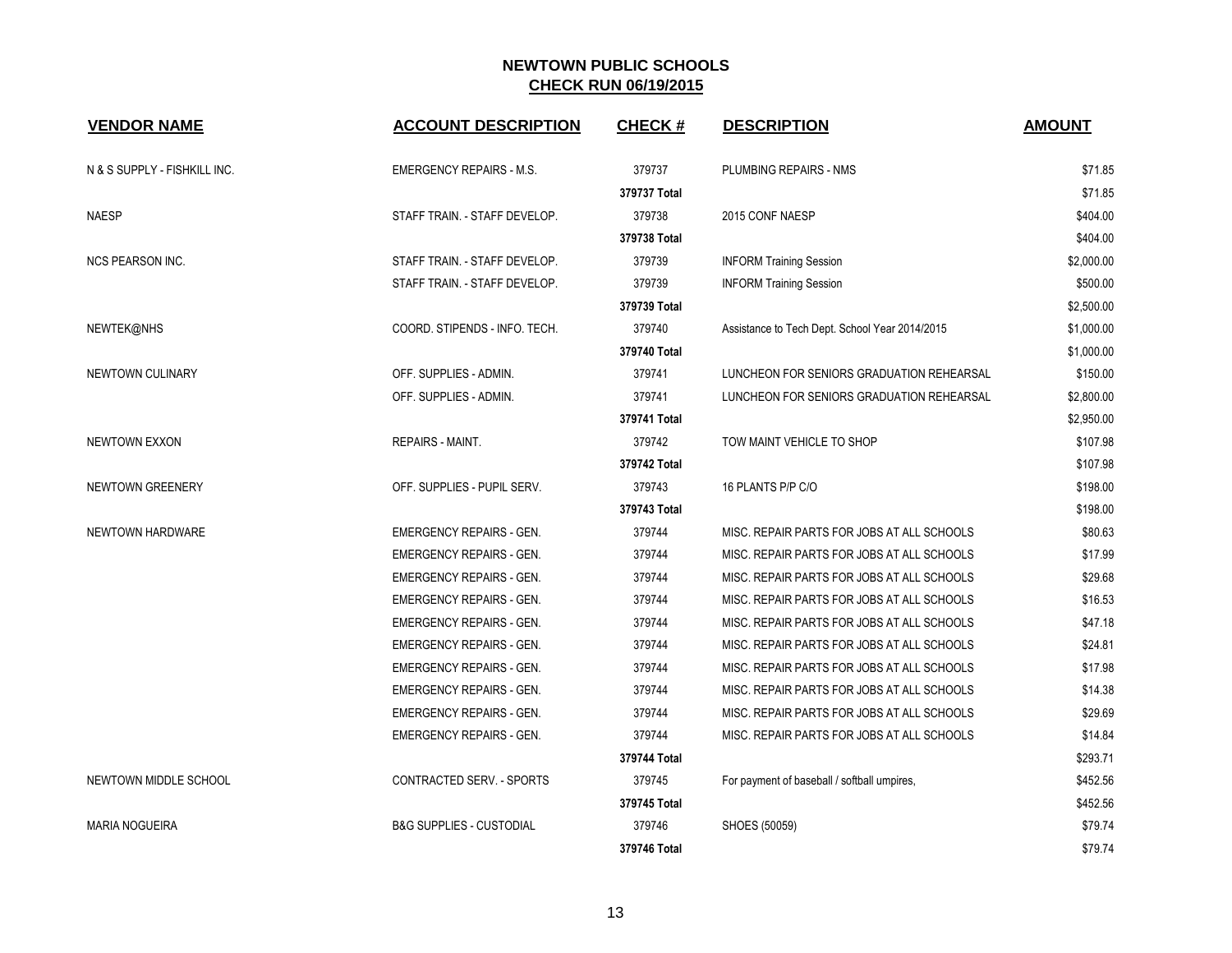| <b>VENDOR NAME</b>           | <b>ACCOUNT DESCRIPTION</b>          | <b>CHECK#</b> | <b>DESCRIPTION</b>                             | <b>AMOUNT</b> |
|------------------------------|-------------------------------------|---------------|------------------------------------------------|---------------|
| N & S SUPPLY - FISHKILL INC. | <b>EMERGENCY REPAIRS - M.S.</b>     | 379737        | PLUMBING REPAIRS - NMS                         | \$71.85       |
|                              |                                     | 379737 Total  |                                                | \$71.85       |
| <b>NAESP</b>                 | STAFF TRAIN. - STAFF DEVELOP.       | 379738        | 2015 CONF NAESP                                | \$404.00      |
|                              |                                     | 379738 Total  |                                                | \$404.00      |
| <b>NCS PEARSON INC.</b>      | STAFF TRAIN. - STAFF DEVELOP.       | 379739        | <b>INFORM Training Session</b>                 | \$2,000.00    |
|                              | STAFF TRAIN. - STAFF DEVELOP.       | 379739        | <b>INFORM Training Session</b>                 | \$500.00      |
|                              |                                     | 379739 Total  |                                                | \$2,500.00    |
| NEWTEK@NHS                   | COORD. STIPENDS - INFO. TECH.       | 379740        | Assistance to Tech Dept. School Year 2014/2015 | \$1,000.00    |
|                              |                                     | 379740 Total  |                                                | \$1,000.00    |
| NEWTOWN CULINARY             | OFF. SUPPLIES - ADMIN.              | 379741        | LUNCHEON FOR SENIORS GRADUATION REHEARSAL      | \$150.00      |
|                              | OFF. SUPPLIES - ADMIN.              | 379741        | LUNCHEON FOR SENIORS GRADUATION REHEARSAL      | \$2,800.00    |
|                              |                                     | 379741 Total  |                                                | \$2,950.00    |
| <b>NEWTOWN EXXON</b>         | <b>REPAIRS - MAINT.</b>             | 379742        | TOW MAINT VEHICLE TO SHOP                      | \$107.98      |
|                              |                                     | 379742 Total  |                                                | \$107.98      |
| NEWTOWN GREENERY             | OFF. SUPPLIES - PUPIL SERV.         | 379743        | 16 PLANTS P/P C/O                              | \$198.00      |
|                              |                                     | 379743 Total  |                                                | \$198.00      |
| NEWTOWN HARDWARE             | <b>EMERGENCY REPAIRS - GEN.</b>     | 379744        | MISC. REPAIR PARTS FOR JOBS AT ALL SCHOOLS     | \$80.63       |
|                              | <b>EMERGENCY REPAIRS - GEN.</b>     | 379744        | MISC. REPAIR PARTS FOR JOBS AT ALL SCHOOLS     | \$17.99       |
|                              | <b>EMERGENCY REPAIRS - GEN.</b>     | 379744        | MISC. REPAIR PARTS FOR JOBS AT ALL SCHOOLS     | \$29.68       |
|                              | <b>EMERGENCY REPAIRS - GEN.</b>     | 379744        | MISC. REPAIR PARTS FOR JOBS AT ALL SCHOOLS     | \$16.53       |
|                              | <b>EMERGENCY REPAIRS - GEN.</b>     | 379744        | MISC. REPAIR PARTS FOR JOBS AT ALL SCHOOLS     | \$47.18       |
|                              | <b>EMERGENCY REPAIRS - GEN.</b>     | 379744        | MISC. REPAIR PARTS FOR JOBS AT ALL SCHOOLS     | \$24.81       |
|                              | <b>EMERGENCY REPAIRS - GEN.</b>     | 379744        | MISC. REPAIR PARTS FOR JOBS AT ALL SCHOOLS     | \$17.98       |
|                              | <b>EMERGENCY REPAIRS - GEN.</b>     | 379744        | MISC. REPAIR PARTS FOR JOBS AT ALL SCHOOLS     | \$14.38       |
|                              | <b>EMERGENCY REPAIRS - GEN.</b>     | 379744        | MISC. REPAIR PARTS FOR JOBS AT ALL SCHOOLS     | \$29.69       |
|                              | <b>EMERGENCY REPAIRS - GEN.</b>     | 379744        | MISC. REPAIR PARTS FOR JOBS AT ALL SCHOOLS     | \$14.84       |
|                              |                                     | 379744 Total  |                                                | \$293.71      |
| NEWTOWN MIDDLE SCHOOL        | CONTRACTED SERV. - SPORTS           | 379745        | For payment of baseball / softball umpires,    | \$452.56      |
|                              |                                     | 379745 Total  |                                                | \$452.56      |
| <b>MARIA NOGUEIRA</b>        | <b>B&amp;G SUPPLIES - CUSTODIAL</b> | 379746        | SHOES (50059)                                  | \$79.74       |
|                              |                                     | 379746 Total  |                                                | \$79.74       |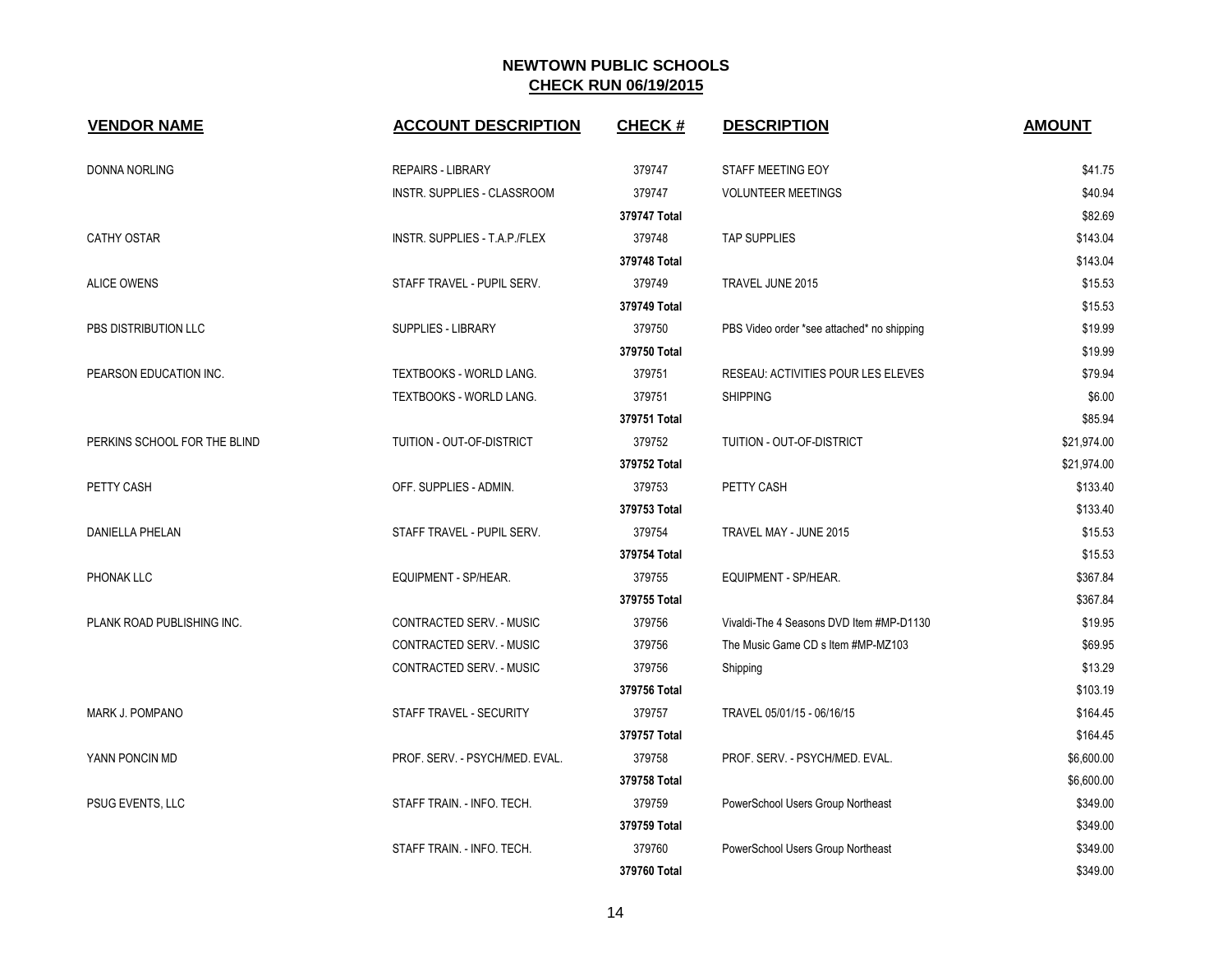| <b>VENDOR NAME</b>           | <b>ACCOUNT DESCRIPTION</b>     | <b>CHECK#</b> | <b>DESCRIPTION</b>                         | <b>AMOUNT</b> |
|------------------------------|--------------------------------|---------------|--------------------------------------------|---------------|
| <b>DONNA NORLING</b>         | <b>REPAIRS - LIBRARY</b>       | 379747        | STAFF MEETING EOY                          | \$41.75       |
|                              | INSTR. SUPPLIES - CLASSROOM    | 379747        | <b>VOLUNTEER MEETINGS</b>                  | \$40.94       |
|                              |                                | 379747 Total  |                                            | \$82.69       |
| <b>CATHY OSTAR</b>           | INSTR. SUPPLIES - T.A.P./FLEX  | 379748        | <b>TAP SUPPLIES</b>                        | \$143.04      |
|                              |                                | 379748 Total  |                                            | \$143.04      |
| <b>ALICE OWENS</b>           | STAFF TRAVEL - PUPIL SERV.     | 379749        | TRAVEL JUNE 2015                           | \$15.53       |
|                              |                                | 379749 Total  |                                            | \$15.53       |
| PBS DISTRIBUTION LLC         | SUPPLIES - LIBRARY             | 379750        | PBS Video order *see attached* no shipping | \$19.99       |
|                              |                                | 379750 Total  |                                            | \$19.99       |
| PEARSON EDUCATION INC.       | TEXTBOOKS - WORLD LANG.        | 379751        | RESEAU: ACTIVITIES POUR LES ELEVES         | \$79.94       |
|                              | <b>TEXTBOOKS - WORLD LANG.</b> | 379751        | <b>SHIPPING</b>                            | \$6.00        |
|                              |                                | 379751 Total  |                                            | \$85.94       |
| PERKINS SCHOOL FOR THE BLIND | TUITION - OUT-OF-DISTRICT      | 379752        | TUITION - OUT-OF-DISTRICT                  | \$21,974.00   |
|                              |                                | 379752 Total  |                                            | \$21,974.00   |
| PETTY CASH                   | OFF. SUPPLIES - ADMIN.         | 379753        | PETTY CASH                                 | \$133.40      |
|                              |                                | 379753 Total  |                                            | \$133.40      |
| DANIELLA PHELAN              | STAFF TRAVEL - PUPIL SERV.     | 379754        | TRAVEL MAY - JUNE 2015                     | \$15.53       |
|                              |                                | 379754 Total  |                                            | \$15.53       |
| PHONAK LLC                   | EQUIPMENT - SP/HEAR.           | 379755        | EQUIPMENT - SP/HEAR.                       | \$367.84      |
|                              |                                | 379755 Total  |                                            | \$367.84      |
| PLANK ROAD PUBLISHING INC.   | CONTRACTED SERV. - MUSIC       | 379756        | Vivaldi-The 4 Seasons DVD Item #MP-D1130   | \$19.95       |
|                              | CONTRACTED SERV. - MUSIC       | 379756        | The Music Game CD s Item #MP-MZ103         | \$69.95       |
|                              | CONTRACTED SERV. - MUSIC       | 379756        | Shipping                                   | \$13.29       |
|                              |                                | 379756 Total  |                                            | \$103.19      |
| MARK J. POMPANO              | STAFF TRAVEL - SECURITY        | 379757        | TRAVEL 05/01/15 - 06/16/15                 | \$164.45      |
|                              |                                | 379757 Total  |                                            | \$164.45      |
| YANN PONCIN MD               | PROF. SERV. - PSYCH/MED. EVAL. | 379758        | PROF. SERV. - PSYCH/MED. EVAL.             | \$6,600.00    |
|                              |                                | 379758 Total  |                                            | \$6,600.00    |
| PSUG EVENTS, LLC             | STAFF TRAIN. - INFO. TECH.     | 379759        | PowerSchool Users Group Northeast          | \$349.00      |
|                              |                                | 379759 Total  |                                            | \$349.00      |
|                              | STAFF TRAIN. - INFO. TECH.     | 379760        | PowerSchool Users Group Northeast          | \$349.00      |
|                              |                                | 379760 Total  |                                            | \$349.00      |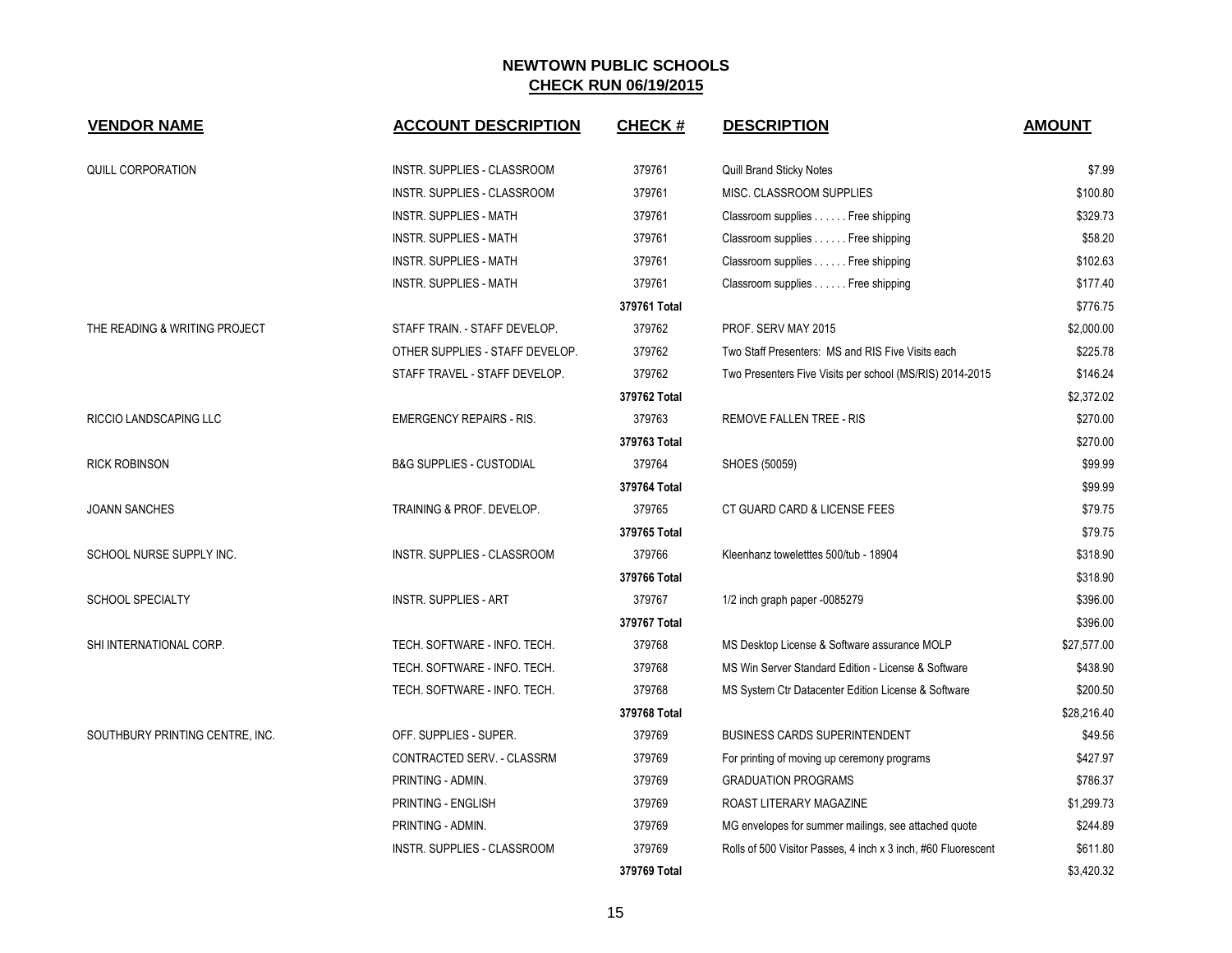| <b>VENDOR NAME</b>              | <b>ACCOUNT DESCRIPTION</b>          | <b>CHECK#</b> | <b>DESCRIPTION</b>                                            | <b>AMOUNT</b> |
|---------------------------------|-------------------------------------|---------------|---------------------------------------------------------------|---------------|
| QUILL CORPORATION               | INSTR. SUPPLIES - CLASSROOM         | 379761        | Quill Brand Sticky Notes                                      | \$7.99        |
|                                 | INSTR. SUPPLIES - CLASSROOM         | 379761        | MISC. CLASSROOM SUPPLIES                                      | \$100.80      |
|                                 | <b>INSTR. SUPPLIES - MATH</b>       | 379761        | Classroom supplies Free shipping                              | \$329.73      |
|                                 | <b>INSTR. SUPPLIES - MATH</b>       | 379761        | Classroom supplies Free shipping                              | \$58.20       |
|                                 | <b>INSTR. SUPPLIES - MATH</b>       | 379761        | Classroom supplies Free shipping                              | \$102.63      |
|                                 | <b>INSTR. SUPPLIES - MATH</b>       | 379761        | Classroom supplies Free shipping                              | \$177.40      |
|                                 |                                     | 379761 Total  |                                                               | \$776.75      |
| THE READING & WRITING PROJECT   | STAFF TRAIN. - STAFF DEVELOP.       | 379762        | PROF. SERV MAY 2015                                           | \$2,000.00    |
|                                 | OTHER SUPPLIES - STAFF DEVELOP.     | 379762        | Two Staff Presenters: MS and RIS Five Visits each             | \$225.78      |
|                                 | STAFF TRAVEL - STAFF DEVELOP.       | 379762        | Two Presenters Five Visits per school (MS/RIS) 2014-2015      | \$146.24      |
|                                 |                                     | 379762 Total  |                                                               | \$2,372.02    |
| RICCIO LANDSCAPING LLC          | <b>EMERGENCY REPAIRS - RIS.</b>     | 379763        | REMOVE FALLEN TREE - RIS                                      | \$270.00      |
|                                 |                                     | 379763 Total  |                                                               | \$270.00      |
| <b>RICK ROBINSON</b>            | <b>B&amp;G SUPPLIES - CUSTODIAL</b> | 379764        | SHOES (50059)                                                 | \$99.99       |
|                                 |                                     | 379764 Total  |                                                               | \$99.99       |
| <b>JOANN SANCHES</b>            | TRAINING & PROF. DEVELOP.           | 379765        | CT GUARD CARD & LICENSE FEES                                  | \$79.75       |
|                                 |                                     | 379765 Total  |                                                               | \$79.75       |
| SCHOOL NURSE SUPPLY INC.        | <b>INSTR. SUPPLIES - CLASSROOM</b>  | 379766        | Kleenhanz toweletttes 500/tub - 18904                         | \$318.90      |
|                                 |                                     | 379766 Total  |                                                               | \$318.90      |
| <b>SCHOOL SPECIALTY</b>         | <b>INSTR. SUPPLIES - ART</b>        | 379767        | 1/2 inch graph paper -0085279                                 | \$396.00      |
|                                 |                                     | 379767 Total  |                                                               | \$396.00      |
| SHI INTERNATIONAL CORP.         | TECH. SOFTWARE - INFO. TECH.        | 379768        | MS Desktop License & Software assurance MOLP                  | \$27,577.00   |
|                                 | TECH. SOFTWARE - INFO. TECH.        | 379768        | MS Win Server Standard Edition - License & Software           | \$438.90      |
|                                 | TECH. SOFTWARE - INFO. TECH.        | 379768        | MS System Ctr Datacenter Edition License & Software           | \$200.50      |
|                                 |                                     | 379768 Total  |                                                               | \$28,216.40   |
| SOUTHBURY PRINTING CENTRE, INC. | OFF. SUPPLIES - SUPER.              | 379769        | <b>BUSINESS CARDS SUPERINTENDENT</b>                          | \$49.56       |
|                                 | CONTRACTED SERV. - CLASSRM          | 379769        | For printing of moving up ceremony programs                   | \$427.97      |
|                                 | PRINTING - ADMIN.                   | 379769        | <b>GRADUATION PROGRAMS</b>                                    | \$786.37      |
|                                 | PRINTING - ENGLISH                  | 379769        | ROAST LITERARY MAGAZINE                                       | \$1,299.73    |
|                                 | PRINTING - ADMIN.                   | 379769        | MG envelopes for summer mailings, see attached quote          | \$244.89      |
|                                 | INSTR. SUPPLIES - CLASSROOM         | 379769        | Rolls of 500 Visitor Passes, 4 inch x 3 inch, #60 Fluorescent | \$611.80      |
|                                 |                                     | 379769 Total  |                                                               | \$3,420.32    |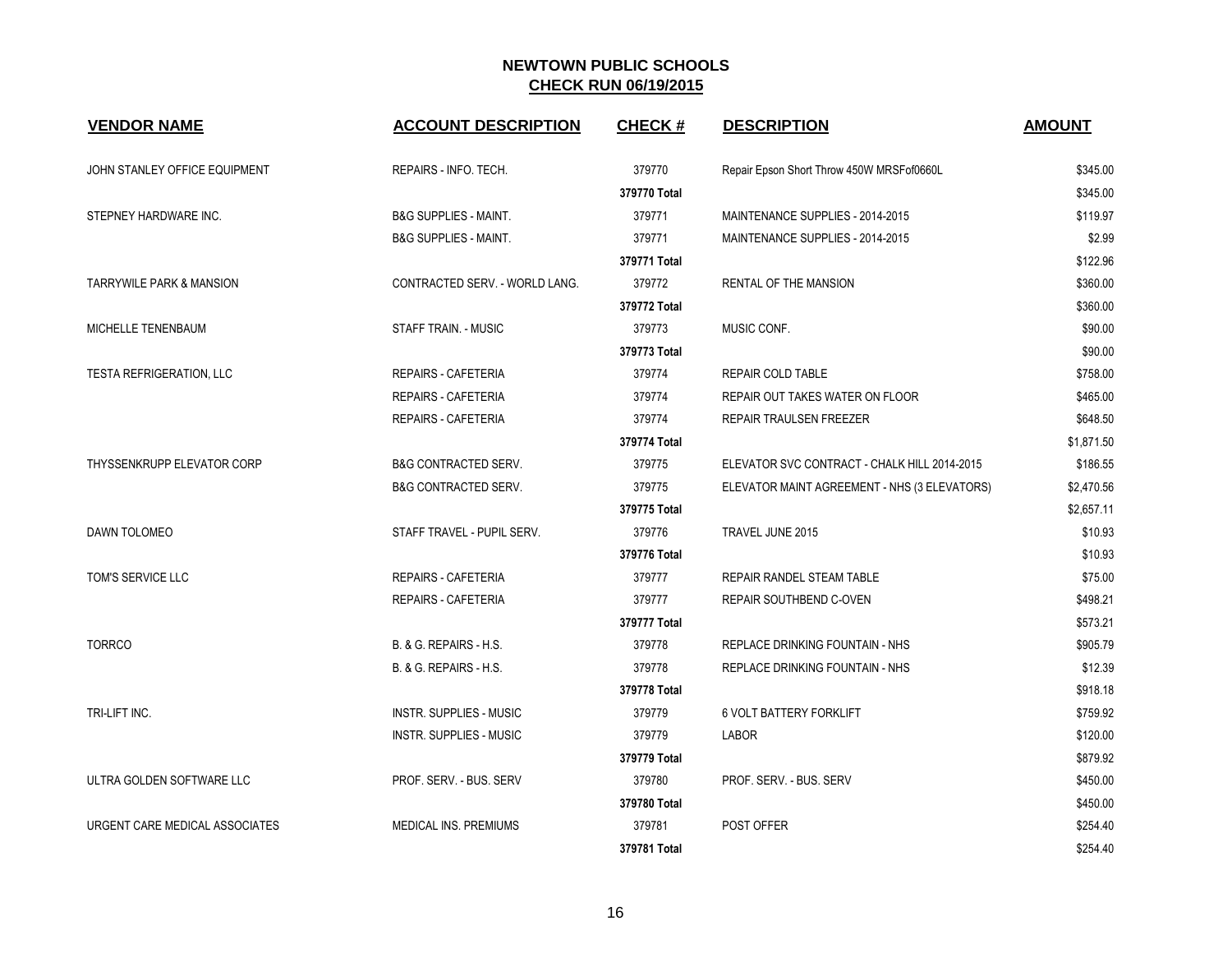| <b>VENDOR NAME</b>                  | <b>ACCOUNT DESCRIPTION</b>       | <b>CHECK#</b> | <b>DESCRIPTION</b>                           | <b>AMOUNT</b> |
|-------------------------------------|----------------------------------|---------------|----------------------------------------------|---------------|
| JOHN STANLEY OFFICE EQUIPMENT       | REPAIRS - INFO. TECH.            | 379770        | Repair Epson Short Throw 450W MRSFof0660L    | \$345.00      |
|                                     |                                  | 379770 Total  |                                              | \$345.00      |
| STEPNEY HARDWARE INC.               | <b>B&amp;G SUPPLIES - MAINT.</b> | 379771        | MAINTENANCE SUPPLIES - 2014-2015             | \$119.97      |
|                                     | <b>B&amp;G SUPPLIES - MAINT.</b> | 379771        | MAINTENANCE SUPPLIES - 2014-2015             | \$2.99        |
|                                     |                                  | 379771 Total  |                                              | \$122.96      |
| <b>TARRYWILE PARK &amp; MANSION</b> | CONTRACTED SERV. - WORLD LANG.   | 379772        | RENTAL OF THE MANSION                        | \$360.00      |
|                                     |                                  | 379772 Total  |                                              | \$360.00      |
| MICHELLE TENENBAUM                  | STAFF TRAIN. - MUSIC             | 379773        | MUSIC CONF.                                  | \$90.00       |
|                                     |                                  | 379773 Total  |                                              | \$90.00       |
| TESTA REFRIGERATION, LLC            | REPAIRS - CAFETERIA              | 379774        | REPAIR COLD TABLE                            | \$758.00      |
|                                     | <b>REPAIRS - CAFETERIA</b>       | 379774        | REPAIR OUT TAKES WATER ON FLOOR              | \$465.00      |
|                                     | REPAIRS - CAFETERIA              | 379774        | REPAIR TRAULSEN FREEZER                      | \$648.50      |
|                                     |                                  | 379774 Total  |                                              | \$1,871.50    |
| THYSSENKRUPP ELEVATOR CORP          | <b>B&amp;G CONTRACTED SERV.</b>  | 379775        | ELEVATOR SVC CONTRACT - CHALK HILL 2014-2015 | \$186.55      |
|                                     | <b>B&amp;G CONTRACTED SERV.</b>  | 379775        | ELEVATOR MAINT AGREEMENT - NHS (3 ELEVATORS) | \$2,470.56    |
|                                     |                                  | 379775 Total  |                                              | \$2,657.11    |
| DAWN TOLOMEO                        | STAFF TRAVEL - PUPIL SERV.       | 379776        | TRAVEL JUNE 2015                             | \$10.93       |
|                                     |                                  | 379776 Total  |                                              | \$10.93       |
| TOM'S SERVICE LLC                   | <b>REPAIRS - CAFETERIA</b>       | 379777        | REPAIR RANDEL STEAM TABLE                    | \$75.00       |
|                                     | REPAIRS - CAFETERIA              | 379777        | REPAIR SOUTHBEND C-OVEN                      | \$498.21      |
|                                     |                                  | 379777 Total  |                                              | \$573.21      |
| <b>TORRCO</b>                       | B. & G. REPAIRS - H.S.           | 379778        | REPLACE DRINKING FOUNTAIN - NHS              | \$905.79      |
|                                     | B. & G. REPAIRS - H.S.           | 379778        | REPLACE DRINKING FOUNTAIN - NHS              | \$12.39       |
|                                     |                                  | 379778 Total  |                                              | \$918.18      |
| TRI-LIFT INC.                       | <b>INSTR. SUPPLIES - MUSIC</b>   | 379779        | <b>6 VOLT BATTERY FORKLIFT</b>               | \$759.92      |
|                                     | <b>INSTR. SUPPLIES - MUSIC</b>   | 379779        | <b>LABOR</b>                                 | \$120.00      |
|                                     |                                  | 379779 Total  |                                              | \$879.92      |
| ULTRA GOLDEN SOFTWARE LLC           | PROF. SERV. - BUS. SERV          | 379780        | PROF. SERV. - BUS. SERV                      | \$450.00      |
|                                     |                                  | 379780 Total  |                                              | \$450.00      |
| URGENT CARE MEDICAL ASSOCIATES      | MEDICAL INS. PREMIUMS            | 379781        | <b>POST OFFER</b>                            | \$254.40      |
|                                     |                                  | 379781 Total  |                                              | \$254.40      |